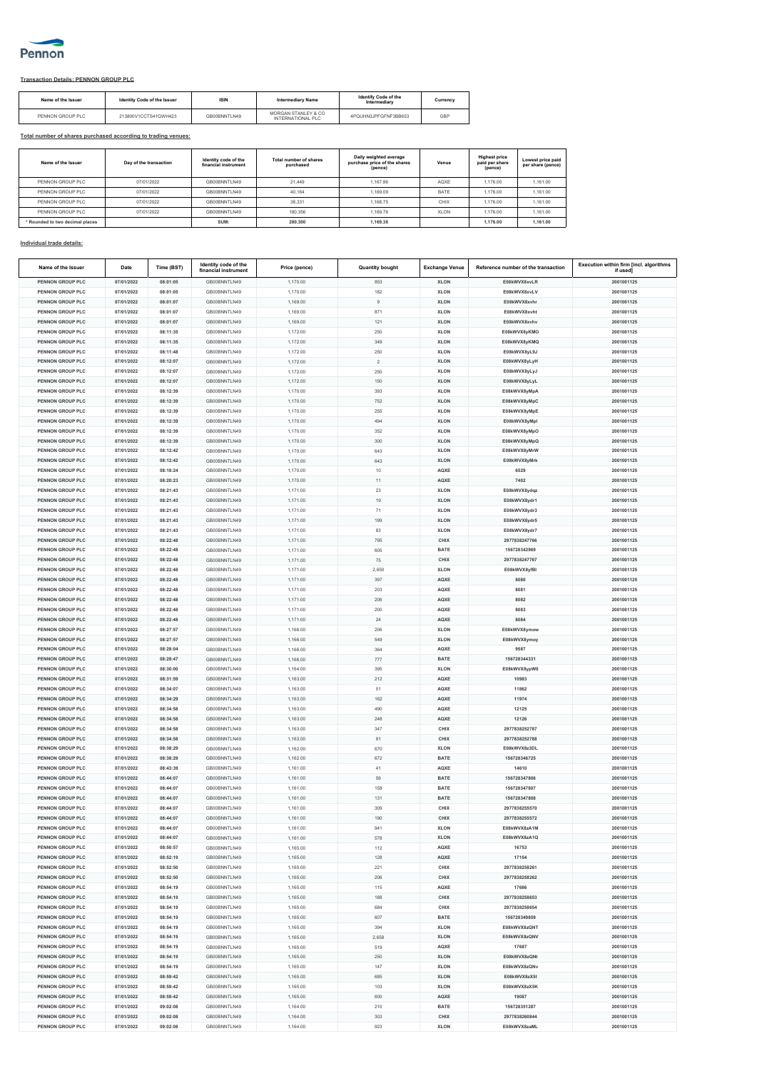

## **Transaction Details: PENNON GROUP PLC**

| Name of the Issuer | Identity Code of the Issuer | <b>ISIN</b>  | <b>Intermediary Name</b>                 | <b>Identify Code of the</b><br>Intermediary | Currency |
|--------------------|-----------------------------|--------------|------------------------------------------|---------------------------------------------|----------|
| PENNON GROUP PLC   | 213800V1CCTS41GWH423        | GB00BNNTLN49 | MORGAN STANLEY & CO<br>INTERNATIONAL PLC | 4PQUHN3JPFGFNF3BB653                        | GBP      |

## **Total number of shares purchased according to trading venues:**

| Name of the Issuer              | Day of the transaction | Identity code of the<br>financial instrument | Total number of shares<br>purchased | Daily weighted average<br>purchase price of the shares<br>(pence) | Venue       | <b>Highest price</b><br>paid per share<br>(pence) | Lowest price paid<br>per share (pence) |
|---------------------------------|------------------------|----------------------------------------------|-------------------------------------|-------------------------------------------------------------------|-------------|---------------------------------------------------|----------------------------------------|
| PENNON GROUP PLC                | 07/01/2022             | GR00BNNTLN49                                 | 21.449                              | 1.167.86                                                          | AQXE        | 1.176.00                                          | 1.161.00                               |
| PENNON GROUP PLC                | 07/01/2022             | GR00BNNTLN49                                 | 40.164                              | 1.169.09                                                          | BATE        | 1.176.00                                          | 1.161.00                               |
| PENNON GROUP PLC.               | 07/01/2022             | GR00BNNTLN49                                 | 38.331                              | 1.168.75                                                          | CHIX        | 1.176.00                                          | 1.161.00                               |
| PENNON GROUP PLC                | 07/01/2022             | GB00BNNTLN49                                 | 180.356                             | 1.169.76                                                          | <b>XLON</b> | 1.176.00                                          | 1.161.00                               |
| * Rounded to two decimal places |                        | SUM:                                         | 280,300                             | 1.169.38                                                          |             | 1,176,00                                          | 1.161.00                               |

## **Individual trade details:**

| Name of the Issuer                   | Date                     | Time (BST)           | Identity code of the<br>financial instrument | Price (pence) | <b>Quantity bought</b> | <b>Exchange Venue</b> | Reference number of the transaction | Execution within firm [incl. algorithms<br>if used1 |
|--------------------------------------|--------------------------|----------------------|----------------------------------------------|---------------|------------------------|-----------------------|-------------------------------------|-----------------------------------------------------|
| <b>PENNON GROUP PLC</b>              | 07/01/2022               | 08:01:05             | GB00BNNTLN49                                 | 1.170.00      | 853                    | <b>XLON</b>           | E08kWVX8xvLR                        | 2001001125                                          |
| PENNON GROUP PLC                     | 07/01/2022               | 08:01:05             | GB00BNNTLN49                                 | 1.170.00      | 182                    | <b>XLON</b>           | E08kWVX8xvLV                        | 2001001125                                          |
| PENNON GROUP PLC                     | 07/01/2022               | 08:01:07             | GB00BNNTLN49                                 | 1,169.00      | $\,9$                  | <b>XLON</b>           | E08kWVX8xvh                         | 2001001125                                          |
|                                      |                          |                      |                                              |               |                        |                       |                                     |                                                     |
| PENNON GROUP PLC<br>PENNON GROUP PLC | 07/01/2022               | 08:01:07             | GB00BNNTLN49                                 | 1,169.00      | 871                    | <b>XLON</b>           | E08kWVX8xvht                        | 2001001125                                          |
|                                      | 07/01/2022               | 08:01:07             | GB00BNNTLN49                                 | 1,169.00      | 121                    | <b>XLON</b>           | E08kWVX8xvhv                        | 2001001125                                          |
| <b>PENNON GROUP PLC</b>              | 07/01/2022               | 08:11:35             | GB00BNNTLN49                                 | 1.172.00      | 250                    | <b>XLON</b>           | E08kWVX8yKMO                        | 2001001125                                          |
| PENNON GROUP PLO                     | 07/01/2022               | 08:11:35             | GB00BNNTLN49                                 | 1,172.00      | 349                    | <b>XLON</b>           | E08kWVX8yKMQ                        | 2001001125                                          |
| <b>PENNON GROUP PLC</b>              | 07/01/2022               | 08:11:48             | GB00BNNTLN49                                 | 1,172.00      | 250                    | <b>XLON</b>           | E08kWVX8yL9J                        | 2001001125                                          |
| PENNON GROUP PLC                     | 07/01/2022               | 08:12:07             | GB00BNNTLN49                                 | 1,172.00      | $\sqrt{2}$             | <b>XLON</b>           | E08kWVX8yLyH                        | 2001001125                                          |
| <b>PENNON GROUP PLO</b>              | 07/01/2022               | 08:12:07             | GB00BNNTLN49                                 | 1,172.00      | 250                    | <b>XLON</b>           | E08kWVX8yLyJ                        | 2001001125                                          |
| PENNON GROUP PLC                     | 07/01/2022               | 08:12:07             | GB00BNNTLN49                                 | 1.172.00      | 150                    | <b>XLON</b>           | E08kWVX8yLyL                        | 2001001125                                          |
| PENNON GROUP PLC                     | 07/01/2022               | 08:12:39             | GB00BNNTI N49                                | 1,170.00      | 393                    | <b>XLON</b>           | E08kWVX8yMpA                        | 2001001125                                          |
| PENNON GROUP PLC                     | 07/01/2022               | 08:12:39             | GB00BNNTLN49                                 | 1,170.00      | 752                    | <b>XLON</b>           | E08kWVX8yMpC                        | 2001001125                                          |
| PENNON GROUP PLC                     | 07/01/2022               | 08:12:39             | GB00BNNTLN49                                 | 1,170.00      | 255                    | <b>XLON</b>           | E08kWVX8yMpE                        | 2001001125                                          |
| PENNON GROUP PLC                     | 07/01/2022               | 08:12:39             | GB00BNNTLN49                                 | 1,170.00      | 494                    | <b>XLON</b>           | E08kWVX8yMpl                        | 2001001125                                          |
| <b>PENNON GROUP PLC</b>              | 07/01/2022               | 08:12:39             | GB00BNNTLN49                                 | 1.170.00      | 352                    | <b>XLON</b>           | E08kWVX8yMpO                        | 2001001125                                          |
| <b>PENNON GROUP PLC</b>              | 07/01/2022               | 08:12:39             | GB00BNNTLN49                                 | 1,170.00      | 300                    | <b>XLON</b>           | E08kWVX8yMpQ                        | 2001001125                                          |
| <b>PENNON GROUP PLC</b>              | 07/01/2022               | 08:12:42             | GB00BNNTLN49                                 | 1,170.00      | 643                    | <b>XLON</b>           | E08kWVX8yMrW                        | 2001001125                                          |
| PENNON GROUP PLC                     | 07/01/2022               | 08:12:42             | GB00BNNTLN49                                 | 1,170.00      | 643                    | <b>XLON</b>           | E08kWVX8yMrk                        | 2001001125                                          |
| PENNON GROUP PLC                     | 07/01/2022               | 08:18:24             | GB00BNNTLN49                                 | 1,170.00      | 10                     | AQXE                  | 6529                                | 2001001125                                          |
| <b>PENNON GROUP PLC</b>              | 07/01/2022               | 08:20:23             | GB00BNNTLN49                                 | 1.170.00      | 11                     | AQXE                  | 7402                                | 2001001125                                          |
| <b>PENNON GROUP PLC</b>              | 07/01/2022               | 08:21:43             | GB00BNNTLN49                                 | 1,171.00      | 23                     | <b>XLON</b>           | E08kWVX8ydqz                        | 2001001125                                          |
| PENNON GROUP PLC                     | 07/01/2022               | 08:21:43             | GB00BNNTLN49                                 | 1,171.00      | 19                     | <b>XLON</b>           | E08kWVX8ydr1                        | 2001001125                                          |
| PENNON GROUP PLC                     | 07/01/2022               | 08:21:43             | GB00BNNTLN49                                 | 1,171.00      | 71                     | <b>XLON</b>           | E08kWVX8ydr3                        | 2001001125                                          |
| PENNON GROUP PLC                     | 07/01/2022               | 08:21:43             | GB00BNNTLN49                                 | 1,171.00      | 199                    | <b>XLON</b>           | E08kWVX8ydr5                        | 2001001125                                          |
| <b>PENNON GROUP PLC</b>              | 07/01/2022               | 08:21:43             | GB00BNNTLN49                                 | 1.171.00      | 83                     | <b>XLON</b>           | E08kWVX8ydr7                        | 2001001125                                          |
| <b>PENNON GROUP PLC</b>              | 07/01/2022               | 08:22:48             | GB00BNNTLN49                                 | 1,171.00      | 795                    | CHIX                  | 2977838247766                       | 2001001125                                          |
| <b>PENNON GROUP PLC</b>              | 07/01/2022               | 08:22:48             |                                              |               |                        | <b>BATE</b>           | 156728342969                        | 2001001125                                          |
|                                      |                          |                      | GB00BNNTLN49                                 | 1,171.00      | 605                    |                       |                                     |                                                     |
| PENNON GROUP PLC                     | 07/01/2022               | 08:22:48             | GB00BNNTLN49                                 | 1,171.00      | 75                     | CHIX                  | 2977838247767                       | 2001001125                                          |
| PENNON GROUP PLO                     | 07/01/2022               | 08:22:48             | GB00BNNTLN49                                 | 1,171.00      | 2,650                  | <b>XLON</b>           | E08kWVX8yfB                         | 2001001125                                          |
| <b>PENNON GROUP PLC</b>              | 07/01/2022               | 08:22:48             | GB00BNNTLN49                                 | 1,171.00      | 397                    | AQXE                  | 8080                                | 2001001125                                          |
| <b>PENNON GROUP PLC</b>              | 07/01/2022               | 08:22:48             | GB00BNNTLN49                                 | 1,171.00      | 203                    | AQXE                  | 8081                                | 2001001125                                          |
| <b>PENNON GROUP PLC</b>              | 07/01/2022               | 08:22:48             | GB00BNNTLN49                                 | 1,171.00      | 206                    | AQXE                  | 8082                                | 2001001125                                          |
| PENNON GROUP PLC                     | 07/01/2022               | 08:22:48             | GB00BNNTLN49                                 | 1,171.00      | 200                    | AQXE                  | 8083                                | 2001001125                                          |
| PENNON GROUP PLC                     | 07/01/2022               | 08:22:48             | GB00BNNTLN49                                 | 1,171.00      | 24                     | AQXE                  | 8084                                | 2001001125                                          |
| <b>PENNON GROUP PLC</b>              | 07/01/2022               | 08:27:57             | GB00BNNTLN49                                 | 1.166.00      | 206                    | <b>XLON</b>           | E08kWVX8ymow                        | 2001001125                                          |
| <b>PENNON GROUP PLC</b>              | 07/01/2022               | 08:27:57             | GB00BNNTLN49                                 | 1,166.00      | 549                    | <b>XLON</b>           | E08kWVX8ymoy                        | 2001001125                                          |
| <b>PENNON GROUP PLC</b>              | 07/01/2022               | 08:28:04             | GB00BNNTLN49                                 | 1,166.00      | 364                    | AQXE                  | 9587                                | 2001001125                                          |
| PENNON GROUP PLC                     | 07/01/2022               | 08:28:47             | GB00BNNTLN49                                 | 1,166.00      | 777                    | BATE                  | 156728344331                        | 2001001125                                          |
| <b>PENNON GROUP PLO</b>              | 07/01/2022               | 08:30:00             | GB00BNNTLN49                                 | 1,164.00      | 395                    | <b>XLON</b>           | E08kWVX8ypW0                        | 2001001125                                          |
| PENNON GROUP PLC                     | 07/01/2022               | 08:31:59             | GB00BNNTLN49                                 | 1.163.00      | 212                    | AQXE                  | 10983                               | 2001001125                                          |
| <b>PENNON GROUP PLC</b>              | 07/01/2022               | 08:34:07             | GB00BNNTLN49                                 | 1,163.00      | 51                     | AQXE                  | 11862                               | 2001001125                                          |
| PENNON GROUP PLC                     | 07/01/2022               | 08:34:29             | GB00BNNTLN49                                 | 1,163.00      | 162                    | AQXE                  | 11974                               | 2001001125                                          |
| PENNON GROUP PLC                     | 07/01/2022               | 08:34:58             | GB00BNNTLN49                                 | 1,163.00      | 490                    | AQXE                  | 12125                               | 2001001125                                          |
| PENNON GROUP PLC                     | 07/01/2022               | 08:34:58             | GB00BNNTLN49                                 | 1,163.00      | 248                    | AQXE                  | 12126                               | 2001001125                                          |
| <b>PENNON GROUP PLC</b>              | 07/01/2022               | 08:34:58             | GB00BNNTLN49                                 | 1.163.00      | 347                    | CHIX                  | 2977838252787                       | 2001001125                                          |
| <b>PENNON GROUP PLC</b>              | 07/01/2022               | 08:34:58             | GB00BNNTLN49                                 | 1,163.00      | 91                     | CHIX                  | 2977838252788                       | 2001001125                                          |
| PENNON GROUP PLC                     | 07/01/2022               | 08:38:29             | GB00BNNTLN49                                 | 1,162.00      | 670                    | <b>XLON</b>           | E08kWVX8z3DL                        | 2001001125                                          |
| PENNON GROUP PLC                     | 07/01/2022               | 08:38:29             | GB00BNNTLN49                                 | 1,162.00      | 672                    | BATE                  | 156728346725                        | 2001001125                                          |
| PENNON GROUP PLO                     | 07/01/2022               | 08:43:39             | GB00BNNTLN49                                 | 1,161.00      | 41                     | AQXE                  | 14610                               | 2001001125                                          |
| <b>PENNON GROUP PLC</b>              | 07/01/2022               | 08:44:07             | GB00BNNTLN49                                 | 1.161.00      | 56                     | <b>BATE</b>           | 156728347806                        | 2001001125                                          |
| <b>PENNON GROUP PLC</b>              | 07/01/2022               | 08:44:07             | GB00BNNTLN49                                 | 1,161.00      | 158                    | BATE                  | 156728347807                        | 2001001125                                          |
| PENNON GROUP PLC                     | 07/01/2022               | 08:44:07             | GB00BNNTLN49                                 | 1,161.00      | 131                    | BATE                  | 156728347808                        | 2001001125                                          |
| PENNON GROUP PLC                     | 07/01/2022               | 08:44:07             | GB00BNNTLN49                                 | 1,161.00      | 309                    | CHIX                  | 2977838255570                       | 2001001125                                          |
| PENNON GROUP PLC                     | 07/01/2022               | 08:44:07             | GB00BNNTLN49                                 | 1.161.00      | 190                    | CHIX                  | 2977838255572                       | 2001001125                                          |
| <b>PENNON GROUP PLC</b>              | 07/01/2022               | 08:44:07             | GB00BNNTLN49                                 | 1,161.00      | 941                    | <b>XLON</b>           | E08kWVX8zA1M                        | 2001001125                                          |
| <b>PENNON GROUP PLC</b>              | 07/01/2022               | 08:44:07             | GB00BNNTLN49                                 | 1,161.00      | 578                    | <b>XLON</b>           | E08kWVX8zA1Q                        | 2001001125                                          |
| PENNON GROUP PLC                     | 07/01/2022               | 08:50:57             | GB00BNNTLN49                                 | 1,165.00      | 112                    | AQXE                  | 16753                               | 2001001125                                          |
| PENNON GROUP PLC                     | 07/01/2022               | 08:52:19             | GB00BNNTLN49                                 | 1,165.00      | 128                    | AQXE                  | 17154                               | 2001001125                                          |
|                                      |                          |                      |                                              |               |                        |                       |                                     |                                                     |
| PENNON GROUP PLC<br>PENNON GROUP PLC | 07/01/2022<br>07/01/2022 | 08:52:50<br>08:52:50 | GB00BNNTLN49<br>GB00BNNTLN49                 | 1,165.00      | 221<br>206             | CHIX<br>CHIX          | 2977838258261<br>2977838258262      | 2001001125<br>2001001125                            |
| PENNON GROUP PLC                     |                          |                      |                                              | 1,165.00      |                        |                       |                                     |                                                     |
|                                      | 07/01/2022               | 08:54:19             | GB00BNNTLN49                                 | 1,165.00      | 115                    | AQXE                  | 17686                               | 2001001125                                          |
| PENNON GROUP PLC                     | 07/01/2022               | 08:54:19             | GB00BNNTLN49                                 | 1,165.00      | 188                    | CHIX                  | 2977838258653                       | 2001001125                                          |
| PENNON GROUP PLC                     | 07/01/2022               | 08:54:19             | GB00BNNTLN49                                 | 1,165.00      | 684                    | CHIX                  | 2977838258654                       | 2001001125                                          |
| PENNON GROUP PLC                     | 07/01/2022               | 08:54:19             | GB00BNNTLN49                                 | 1,165.00      | 607                    | BATE                  | 156728349859                        | 2001001125                                          |
| PENNON GROUP PLC                     | 07/01/2022               | 08:54:19             | GB00BNNTLN49                                 | 1,165.00      | 394                    | <b>XLON</b>           | E08kWVX8zQNT                        | 2001001125                                          |
| PENNON GROUP PLC                     | 07/01/2022               | 08:54:19             | GB00BNNTLN49                                 | 1,165.00      | 2,658                  | <b>XLON</b>           | E08kWVX8zQNV                        | 2001001125                                          |
| PENNON GROUP PLC                     | 07/01/2022               | 08:54:19             | GB00BNNTLN49                                 | 1,165.00      | 519                    | AQXE                  | 17687                               | 2001001125                                          |
| PENNON GROUP PLC                     | 07/01/2022               | 08:54:19             | GB00BNNTLN49                                 | 1,165.00      | 250                    | <b>XLON</b>           | E08kWVX8zQNt                        | 2001001125                                          |
| PENNON GROUP PLC                     | 07/01/2022               | 08:54:19             | GB00BNNTLN49                                 | 1,165.00      | 147                    | <b>XLON</b>           | E08kWVX8zQNv                        | 2001001125                                          |
| PENNON GROUP PLC                     | 07/01/2022               | 08:59:42             | GB00BNNTLN49                                 | 1.165.00      | 685                    | <b>XLON</b>           | E08kWVX8zX5I                        | 2001001125                                          |
| <b>PENNON GROUP PLC</b>              | 07/01/2022               | 08:59:42             | GB00BNNTLN49                                 | 1,165.00      | 103                    | <b>XLON</b>           | E08kWVX8zX5K                        | 2001001125                                          |
| PENNON GROUP PLC                     | 07/01/2022               | 08:59:42             | GB00BNNTLN49                                 | 1,165.00      | 600                    | AQXE                  | 19087                               | 2001001125                                          |
| PENNON GROUP PLC                     | 07/01/2022               | 09:02:08             | GB00BNNTLN49                                 | 1,164.00      | 210                    | BATE                  | 156728351287                        | 2001001125                                          |
| PENNON GROUP PLC                     | 07/01/2022               | 09:02:08             | GB00BNNTLN49                                 | 1,164.00      | 303                    | CHIX                  | 2977838260844                       | 2001001125                                          |
| PENNON GROUP PLC                     | 07/01/2022               | 09:02:08             | GB00BNNTLN49                                 | 1.164.00      | 923                    | <b>XLON</b>           | E08kWVX8zaML                        | 2001001125                                          |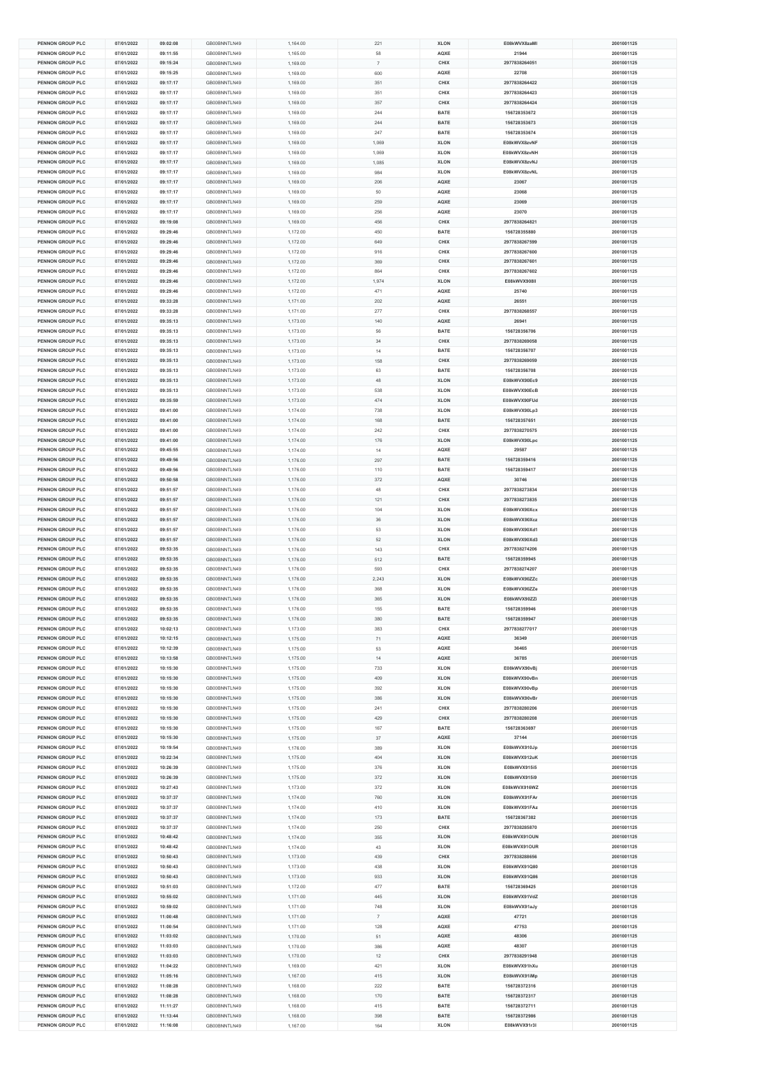| <b>PENNON GROUP PLC</b>              | 07/01/2022               | 09:02:08             | GB00BNNTLN49                 | 1,164.00             | 221            | <b>XLON</b>         | E08kWVX8zaM                  | 2001001125               |
|--------------------------------------|--------------------------|----------------------|------------------------------|----------------------|----------------|---------------------|------------------------------|--------------------------|
| PENNON GROUP PLC                     | 07/01/2022               | 09:11:55             | GB00BNNTLN49                 | 1.165.00             | 58             | AQXE                | 21944                        | 2001001125               |
| PENNON GROUP PLC                     | 07/01/2022               | 09:15:24             | GB00BNNTLN49                 | 1,169.00             | $\overline{7}$ | CHIX                | 2977838264051                | 2001001125               |
|                                      |                          |                      |                              |                      |                |                     |                              |                          |
| <b>PENNON GROUP PLC</b>              | 07/01/2022               | 09:15:25             | GB00BNNTLN49                 | 1,169.00             | 600            | AQXE                | 22708                        | 2001001125               |
| PENNON GROUP PLC                     | 07/01/2022               | 09:17:17             | GB00BNNTLN49                 | 1,169.00             | 351            | CHIX                | 2977838264422                | 2001001125               |
| PENNON GROUP PLC                     | 07/01/2022               | 09:17:17             | GB00BNNTLN49                 | 1,169.00             | 351            | CHIX                | 2977838264423                | 2001001125               |
| PENNON GROUP PLC                     | 07/01/2022               | 09:17:17             | GB00BNNTLN49                 | 1,169.00             | 357            | CHIX                | 2977838264424                | 2001001125               |
| PENNON GROUP PLC                     | 07/01/2022               | 09:17:17             | GB00BNNTLN49                 |                      | 244            | BATE                | 156728353672                 | 2001001125               |
|                                      |                          |                      |                              | 1,169.00             |                |                     |                              |                          |
| PENNON GROUP PLC                     | 07/01/2022               | 09:17:17             | GB00BNNTLN49                 | 1,169.00             | 244            | <b>BATE</b>         | 156728353673                 | 2001001125               |
| PENNON GROUP PLC                     | 07/01/2022               | 09:17:17             | GB00BNNTLN49                 | 1,169.00             | 247            | BATE                | 156728353674                 | 2001001125               |
| PENNON GROUP PLC                     | 07/01/2022               | 09:17:17             | GB00BNNTLN49                 | 1,169.00             | 1,069          | <b>XLON</b>         | E08kWVX8zvNF                 | 2001001125               |
| PENNON GROUP PLC                     | 07/01/2022               | 09:17:17             | GB00BNNTLN49                 | 1,169.00             | 1.069          | <b>XLON</b>         | E08kWVX8zvNH                 | 2001001125               |
|                                      |                          |                      |                              |                      |                |                     |                              |                          |
| PENNON GROUP PLC                     | 07/01/2022               | 09:17:17             | GB00BNNTLN49                 | 1,169.00             | 1,085          | <b>XLON</b>         | E08kWVX8zvNJ                 | 2001001125               |
| <b>PENNON GROUP PLC</b>              | 07/01/2022               | 09:17:17             | GB00BNNTLN49                 | 1,169.00             | 984            | <b>XLON</b>         | E08kWVX8zvNL                 | 2001001125               |
| PENNON GROUP PLC                     | 07/01/2022               | 09:17:17             | GB00BNNTLN49                 | 1,169.00             | 206            | AQXE                | 23067                        | 2001001125               |
| PENNON GROUP PLC                     | 07/01/2022               | 09:17:17             | GB00BNNTLN49                 | 1,169.00             | $50\,$         | AQXE                | 23068                        | 2001001125               |
|                                      | 07/01/2022               |                      |                              |                      |                |                     |                              |                          |
| PENNON GROUP PLC                     |                          | 09:17:17             | GB00BNNTLN49                 | 1,169.00             | 259            | AQXE                | 23069                        | 2001001125               |
| <b>PENNON GROUP PLC</b>              | 07/01/2022               | 09:17:17             | GB00BNNTLN49                 | 1,169.00             | 256            | AQXE                | 23070                        | 2001001125               |
| <b>PENNON GROUP PLC</b>              | 07/01/2022               | 09:19:08             | GB00BNNTLN49                 | 1,169.00             | 456            | CHIX                | 2977838264821                | 2001001125               |
| PENNON GROUP PLC                     | 07/01/2022               | 09:29:46             | GB00BNNTLN49                 | 1,172.00             | 450            | BATE                | 156728355880                 | 2001001125               |
| PENNON GROUP PLC                     | 07/01/2022               | 09:29:46             | GB00BNNTLN49                 | 1,172.00             | 649            | CHIX                | 2977838267599                | 2001001125               |
|                                      |                          |                      |                              |                      |                |                     |                              |                          |
| PENNON GROUP PLC                     | 07/01/2022               | 09:29:46             | GB00BNNTLN49                 | 1,172.00             | 916            | CHIX                | 2977838267600                | 2001001125               |
| PENNON GROUP PLC                     | 07/01/2022               | 09:29:46             | GB00BNNTLN49                 | 1,172.00             | 369            | CHIX                | 2977838267601                | 2001001125               |
| <b>PENNON GROUP PLC</b>              | 07/01/2022               | 09:29:46             | GB00BNNTLN49                 | 1,172.00             | 864            | CHIX                | 2977838267602                | 2001001125               |
| PENNON GROUP PLC                     | 07/01/2022               | 09:29:46             | GB00BNNTLN49                 | 1,172.00             | 1,974          | <b>XLON</b>         | E08kWVX908II                 | 2001001125               |
| PENNON GROUP PLC                     | 07/01/2022               | 09:29:46             | GB00BNNTLN49                 | 1,172.00             | 471            | AQXE                | 25740                        | 2001001125               |
|                                      |                          |                      | GB00BNNTLN49                 |                      |                |                     |                              |                          |
| PENNON GROUP PLC                     | 07/01/2022               | 09:33:28             |                              | 1,171.00             | 202            | AQXE                | 26551                        | 2001001125               |
| <b>PENNON GROUP PLC</b>              | 07/01/2022               | 09:33:28             | GB00BNNTLN49                 | 1,171.00             | 277            | CHIX                | 2977838268557                | 2001001125               |
| <b>PENNON GROUP PLC</b>              | 07/01/2022               | 09:35:13             | GB00BNNTLN49                 | 1,173.00             | 140            | AQXE                | 26941                        | 2001001125               |
| PENNON GROUP PLC                     | 07/01/2022               | 09:35:13             | GB00BNNTLN49                 | 1,173.00             | 56             | BATE                | 156728356706                 | 2001001125               |
| PENNON GROUP PLC                     | 07/01/2022               | 09:35:13             | GB00BNNTLN49                 | 1,173.00             | 34             | CHIX                | 2977838269058                | 2001001125               |
|                                      |                          |                      |                              |                      |                |                     |                              |                          |
| PENNON GROUP PLC                     | 07/01/2022               | 09:35:13             | GB00BNNTLN49                 | 1,173.00             | 14             | <b>BATE</b>         | 156728356707                 | 2001001125               |
| PENNON GROUP PLC                     | 07/01/2022               | 09:35:13             | GB00BNNTLN49                 | 1,173.00             | 158            | CHIX                | 2977838269059                | 2001001125               |
| PENNON GROUP PLC                     | 07/01/2022               | 09:35:13             | GB00BNNTLN49                 | 1,173.00             | 63             | BATE                | 156728356708                 | 2001001125               |
| PENNON GROUP PLC                     | 07/01/2022               | 09:35:13             | GB00BNNTLN49                 | 1,173.00             | $48\,$         | <b>XLON</b>         | E08kWVX90Ec9                 | 2001001125               |
|                                      |                          |                      |                              |                      |                |                     |                              |                          |
| PENNON GROUP PLC                     | 07/01/2022               | 09:35:13             | GB00BNNTLN49                 | 1,173.00             | 538            | <b>XLON</b>         | E08kWVX90EcB                 | 2001001125               |
| PENNON GROUP PLC                     | 07/01/2022               | 09:35:59             | GB00BNNTLN49                 | 1,173.00             | 474            | <b>XLON</b>         | E08kWVX90FUd                 | 2001001125               |
| <b>PENNON GROUP PLC</b>              | 07/01/2022               | 09:41:00             | GB00BNNTLN49                 | 1,174.00             | 738            | <b>XLON</b>         | E08kWVX90Lp3                 | 2001001125               |
| <b>PENNON GROUP PLC</b>              | 07/01/2022               | 09:41:00             | GB00BNNTLN49                 | 1,174.00             | 168            | <b>BATE</b>         | 156728357651                 | 2001001125               |
|                                      |                          |                      |                              |                      |                |                     |                              |                          |
| PENNON GROUP PLC                     | 07/01/2022               | 09:41:00             | GB00BNNTLN49                 | 1,174.00             | 242            | CHIX                | 2977838270575                | 2001001125               |
| PENNON GROUP PLC                     | 07/01/2022               | 09:41:00             | GB00BNNTLN49                 | 1,174.00             | 176            | <b>XLON</b>         | E08kWVX90Lpc                 | 2001001125               |
| PENNON GROUP PLC                     | 07/01/2022               | 09:45:55             | GB00BNNTLN49                 | 1,174.00             | 14             | AQXE                | 29587                        | 2001001125               |
| <b>PENNON GROUP PLC</b>              | 07/01/2022               | 09:49:56             | GB00BNNTLN49                 | 1,176.00             | 297            | <b>BATE</b>         | 156728359416                 | 2001001125               |
| <b>PENNON GROUP PLC</b>              |                          | 09:49:56             |                              |                      |                | <b>BATE</b>         | 156728359417                 | 2001001125               |
|                                      | 07/01/2022               |                      | GB00BNNTLN49                 | 1,176.00             | 110            |                     |                              |                          |
| PENNON GROUP PLC                     | 07/01/2022               | 09:50:58             | GB00BNNTLN49                 | 1,176.00             | 372            | AQXE                | 30746                        | 2001001125               |
| PENNON GROUP PLC                     | 07/01/2022               | 09:51:57             | GB00BNNTLN49                 | 1,176.00             | $48\,$         | CHIX                | 2977838273834                | 2001001125               |
| PENNON GROUP PLC                     | 07/01/2022               | 09:51:57             | GB00BNNTLN49                 | 1,176.00             | 121            | CHIX                | 2977838273835                | 2001001125               |
| <b>PENNON GROUP PLC</b>              | 07/01/2022               | 09:51:57             | GB00BNNTLN49                 | 1,176.00             | 104            | <b>XLON</b>         | E08kWVX90Xcx                 | 2001001125               |
| <b>PENNON GROUP PLC</b>              |                          |                      |                              |                      |                |                     | E08kWVX90Xcz                 | 2001001125               |
|                                      | 07/01/2022               | 09:51:57             | GB00BNNTLN49                 | 1,176.00             | $36\,$         | <b>XLON</b>         |                              |                          |
| PENNON GROUP PLC                     | 07/01/2022               | 09:51:57             | GB00BNNTLN49                 | 1,176.00             | 53             | <b>XLON</b>         | E08kWVX90Xd1                 | 2001001125               |
| PENNON GROUP PLC                     | 07/01/2022               | 09:51:57             | GB00BNNTLN49                 | 1,176.00             | 52             | <b>XLON</b>         | E08kWVX90Xd3                 | 2001001125               |
| PENNON GROUP PLC                     | 07/01/2022               | 09:53:35             | GB00BNNTLN49                 | 1,176.00             | 143            | CHIX                | 2977838274206                | 2001001125               |
| <b>PENNON GROUP PLC</b>              | 07/01/2022               | 09:53:35             | GB00BNNTLN49                 | 1,176.00             | 512            | BATE                | 156728359945                 | 2001001125               |
|                                      |                          |                      |                              |                      |                |                     |                              |                          |
| <b>PENNON GROUP PLC</b>              | 07/01/2022               | 09:53:35             | GB00BNNTLN49                 | 1,176.00             | 593            | CHIX                | 2977838274207                | 2001001125               |
| PENNON GROUP PLC                     | 07/01/2022               | 09:53:35             | GB00BNNTLN49                 | 1,176.00             | 2,243          | <b>XLON</b>         | E08kWVX90ZZc                 | 2001001125               |
| PENNON GROUP PLC                     | 07/01/2022               | 09:53:35             | GB00BNNTLN49                 | 1,176.00             | 368            | <b>XLON</b>         | E08kWVX90ZZe                 | 2001001125               |
| PENNON GROUP PLC                     | 07/01/2022               | 09:53:35             | GB00BNNTLN49                 | 1,176.00             | 365            | <b>XLON</b>         | E08kWVX90ZZi                 | 2001001125               |
| <b>PENNON GROUP PLC</b>              | 07/01/2022               | 09:53:35             | GB00BNNTLN49                 | 1,176.00             | 155            | <b>BATE</b>         | 156728359946                 | 2001001125               |
| <b>PENNON GROUP PLC</b>              |                          |                      |                              |                      |                |                     |                              |                          |
|                                      | 07/01/2022               | 09:53:35             | GB00BNNTLN49                 | 1,176.00             | 380            | <b>BATE</b>         | 156728359947                 | 2001001125               |
| PENNON GROUP PLC                     | 07/01/2022               | 10:02:13             | GB00BNNTLN49                 | 1,173.00             | 383            | CHIX                | 2977838277017                | 2001001125               |
| PENNON GROUP PLC                     | 07/01/2022               | 10:12:15             | GB00BNNTLN49                 | 1,175.00             | 71             | AQXE                | 36349                        | 2001001125               |
| PENNON GROUP PLC                     | 07/01/2022               | 10:12:39             | GB00BNNTLN49                 | 1,175.00             | 53             | AQXE                | 36465                        | 2001001125               |
| <b>PENNON GROUP PLC</b>              | 07/01/2022               | 10:13:58             | GB00BNNTLN49                 | 1,175.00             | $14$           | AQXE                | 36785                        | 2001001125               |
|                                      |                          |                      |                              |                      |                |                     |                              |                          |
| PENNON GROUP PLC                     | 07/01/2022               | 10:15:30             | GB00BNNTLN49                 | 1,175.00             | 733            | <b>XLON</b>         | E08kWVX90vBj                 | 2001001125               |
| PENNON GROUP PLC                     | 07/01/2022               | 10:15:30             | GB00BNNTLN49                 | 1,175.00             | 409            | <b>XLON</b>         | E08kWVX90vBn                 | 2001001125               |
| PENNON GROUP PLC                     | 07/01/2022               | 10:15:30             | GB00BNNTLN49                 | 1,175.00             | 392            | <b>XLON</b>         | E08kWVX90vBp                 | 2001001125               |
| PENNON GROUP PLC                     | 07/01/2022               | 10:15:30             | GB00BNNTLN49                 | 1,175.00             | 386            | <b>XLON</b>         | E08kWVX90vBr                 | 2001001125               |
| <b>PENNON GROUP PLC</b>              | 07/01/2022               | 10:15:30             | GB00BNNTLN49                 |                      | 241            | CHIX                | 2977838280206                | 2001001125               |
|                                      |                          |                      |                              | 1,175.00             |                |                     |                              |                          |
| PENNON GROUP PLC                     | 07/01/2022               | 10:15:30             | GB00BNNTLN49                 | 1,175.00             | 429            | CHIX                | 2977838280208                | 2001001125               |
| PENNON GROUP PLC                     | 07/01/2022               | 10:15:30             | GB00BNNTLN49                 | 1,175.00             | 167            | BATE                | 156728363697                 | 2001001125               |
| PENNON GROUP PLC                     | 07/01/2022               | 10:15:30             | GB00BNNTLN49                 | 1,175.00             | 37             | AQXE                | 37144                        | 2001001125               |
| PENNON GROUP PLC                     | 07/01/2022               | 10:19:54             | GB00BNNTLN49                 | 1,176.00             | 389            | <b>XLON</b>         | E08kWVX910Jp                 | 2001001125               |
| <b>PENNON GROUP PLC</b>              | 07/01/2022               | 10:22:34             | GB00BNNTLN49                 | 1,175.00             | 404            | <b>XLON</b>         | E08kWVX912uK                 | 2001001125               |
|                                      |                          |                      |                              |                      |                |                     |                              |                          |
| PENNON GROUP PLC                     | 07/01/2022               | 10:26:39             | GB00BNNTLN49                 | 1,175.00             | 376            | <b>XLON</b>         | E08kWVX915i5                 | 2001001125               |
| PENNON GROUP PLC                     | 07/01/2022               | 10:26:39             | GB00BNNTLN49                 | 1,175.00             | 372            | <b>XLON</b>         | E08kWVX915i9                 | 2001001125               |
| PENNON GROUP PLC                     | 07/01/2022               | 10:27:43             | GB00BNNTLN49                 | 1,173.00             | 372            | <b>XLON</b>         | E08kWVX916WZ                 | 2001001125               |
| PENNON GROUP PLC                     | 07/01/2022               | 10:37:37             | GB00BNNTLN49                 | 1,174.00             | 760            | <b>XLON</b>         | E08kWVX91FAr                 | 2001001125               |
| <b>PENNON GROUP PLC</b>              | 07/01/2022               | 10:37:37             | GB00BNNTLN49                 | 1,174.00             | 410            | <b>XLON</b>         | E08kWVX91FAz                 | 2001001125               |
|                                      |                          |                      |                              |                      |                |                     |                              |                          |
| PENNON GROUP PLC                     | 07/01/2022               | 10:37:37             | GB00BNNTLN49                 | 1,174.00             | 173            | BATE                | 156728367382                 | 2001001125               |
| PENNON GROUP PLC                     | 07/01/2022               | 10:37:37             | GB00BNNTLN49                 | 1,174.00             | 250            | CHIX                | 2977838285870                | 2001001125               |
| PENNON GROUP PLC                     | 07/01/2022               | 10:48:42             | GB00BNNTLN49                 | 1,174.00             | 355            | <b>XLON</b>         | E08kWVX91OUN                 | 2001001125               |
| PENNON GROUP PLC                     | 07/01/2022               | 10:48:42             | GB00BNNTLN49                 | 1.174.00             | 43             | <b>XLON</b>         | E08kWVX91OUR                 | 2001001125               |
| <b>PENNON GROUP PLC</b>              | 07/01/2022               | 10:50:43             | GB00BNNTLN49                 | 1,173.00             | 439            | CHIX                | 2977838288656                | 2001001125               |
|                                      |                          |                      |                              |                      |                |                     |                              |                          |
| PENNON GROUP PLC                     | 07/01/2022               | 10:50:43             | GB00BNNTLN49                 | 1,173.00             | 438            | <b>XLON</b>         | E08kWVX91Q80                 | 2001001125               |
| PENNON GROUP PLC                     | 07/01/2022               | 10:50:43             | GB00BNNTLN49                 | 1,173.00             | 933            | <b>XLON</b>         | E08kWVX91Q86                 | 2001001125               |
| <b>PENNON GROUP PLC</b>              | 07/01/2022               | 10:51:03             | GB00BNNTLN49                 | 1,172.00             | 477            | <b>BATE</b>         | 156728369425                 | 2001001125               |
| PENNON GROUP PLC                     | 07/01/2022               | 10:55:02             | GB00BNNTLN49                 | 1,171.00             | 445            | <b>XLON</b>         | E08kWVX91VdZ                 | 2001001125               |
| <b>PENNON GROUP PLC</b>              | 07/01/2022               | 10:59:02             | GB00BNNTLN49                 | 1,171.00             | 748            | <b>XLON</b>         | E08kWVX91aJy                 | 2001001125               |
|                                      |                          |                      |                              |                      |                |                     |                              |                          |
| PENNON GROUP PLC                     | 07/01/2022               | 11:00:48             | GB00BNNTLN49                 | 1,171.00             | $\overline{7}$ | AQXE                | 47721                        | 2001001125               |
| PENNON GROUP PLC                     | 07/01/2022               | 11:00:54             | GB00BNNTLN49                 | 1,171.00             | 128            | AQXE                | 47753                        | 2001001125               |
| PENNON GROUP PLC                     | 07/01/2022               | 11:03:02             | GB00BNNTLN49                 | 1,170.00             | 51             | AQXE                | 48306                        | 2001001125               |
| PENNON GROUP PLC                     | 07/01/2022               | 11:03:03             | GB00BNNTLN49                 | 1,170.00             | 386            | AQXE                | 48307                        | 2001001125               |
| <b>PENNON GROUP PLC</b>              | 07/01/2022               |                      | GB00BNNTLN49                 |                      |                |                     | 2977838291948                | 2001001125               |
|                                      |                          | 11:03:03             |                              | 1,170.00             | 12             | CHIX                |                              |                          |
|                                      |                          |                      |                              | 1,169.00             | 421            | <b>XLON</b>         | E08kWVX91hXu                 | 2001001125               |
| PENNON GROUP PLC                     | 07/01/2022               | 11:04:22             | GB00BNNTLN49                 |                      |                |                     |                              |                          |
| PENNON GROUP PLC                     | 07/01/2022               | 11:05:16             | GB00BNNTLN49                 | 1,167.00             | 415            | <b>XLON</b>         | E08kWVX91iMp                 | 2001001125               |
| PENNON GROUP PLC                     | 07/01/2022               | 11:08:28             | GB00BNNTLN49                 | 1,168.00             | 222            | BATE                | 156728372316                 | 2001001125               |
|                                      |                          |                      |                              |                      |                |                     |                              |                          |
| PENNON GROUP PLC                     | 07/01/2022               | 11:08:28             | GB00BNNTLN49                 | 1.168.00             | 170            | <b>BATE</b>         | 156728372317                 | 2001001125               |
| <b>PENNON GROUP PLC</b>              | 07/01/2022               | 11:11:27             | GB00BNNTLN49                 | 1,168.00             | 415            | BATE                | 156728372711                 | 2001001125               |
| PENNON GROUP PLC<br>PENNON GROUP PLC | 07/01/2022<br>07/01/2022 | 11:13:44<br>11:16:08 | GB00BNNTLN49<br>GB00BNNTLN49 | 1,168.00<br>1,167.00 | 398<br>164     | BATE<br><b>XLON</b> | 156728372986<br>E08kWVX91r3I | 2001001125<br>2001001125 |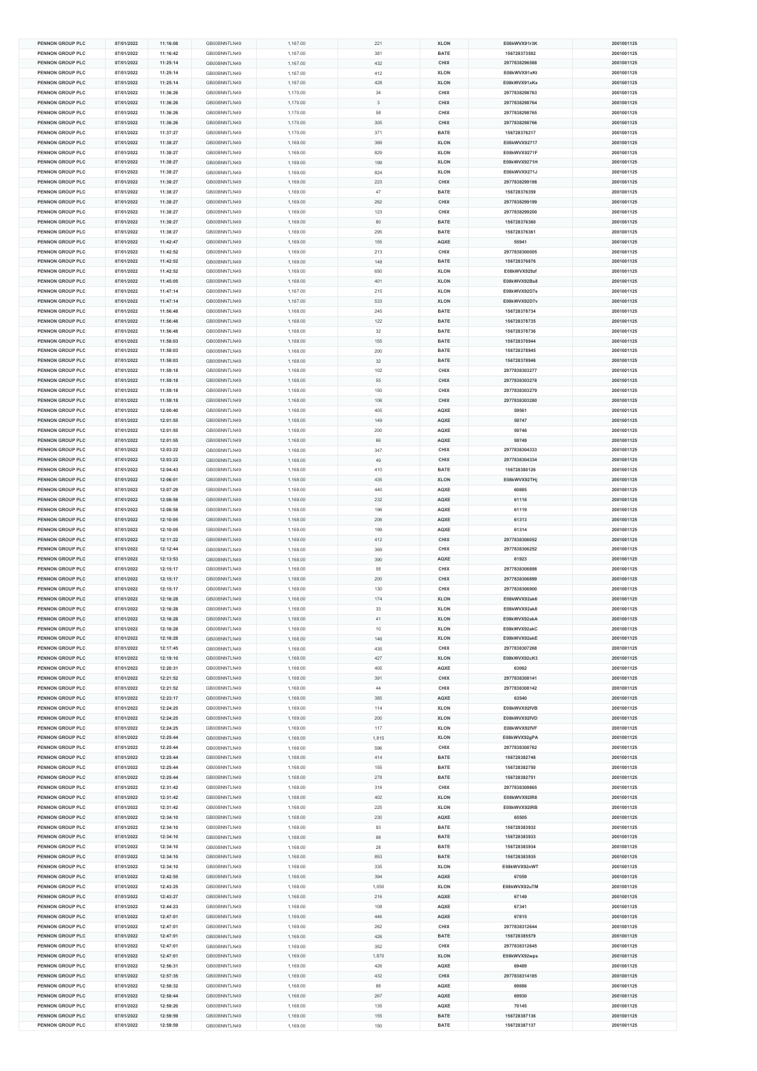|                                      |                          | 11:16:08             |                              | 1,167.00             | 221            | <b>XLON</b>         | E08kWVX91r3K                 |                          |
|--------------------------------------|--------------------------|----------------------|------------------------------|----------------------|----------------|---------------------|------------------------------|--------------------------|
| PENNON GROUP PLC                     | 07/01/2022               | 11:16:42             | GB00BNNTLN49                 | 1,167.00             | 381            | BATE                | 156728373502                 | 2001001125               |
| PENNON GROUP PLC                     | 07/01/2022               | 11:25:14             | GB00BNNTLN49                 | 1,167.00             | 432            | CHIX                | 2977838296588                | 2001001125               |
|                                      |                          |                      |                              |                      |                |                     |                              |                          |
| <b>PENNON GROUP PLC</b>              | 07/01/2022               | 11:25:14             | GB00BNNTLN49                 | 1,167.00             | 412            | <b>XLON</b>         | E08kWVX91xKt                 | 2001001125               |
| PENNON GROUP PLC                     | 07/01/2022               | 11:25:14             | GB00BNNTLN49                 | 1,167.00             | 428            | <b>XLON</b>         | E08kWVX91xKx                 | 2001001125               |
| PENNON GROUP PLC                     | 07/01/2022               | 11:36:26             | GB00BNNTLN49                 | 1,170.00             | $34\,$         | CHIX                | 2977838298763                | 2001001125               |
| PENNON GROUP PLC                     | 07/01/2022               | 11:36:26             | GB00BNNTLN49                 | 1,170.00             | $\overline{3}$ | CHIX                | 2977838298764                | 2001001125               |
|                                      |                          |                      |                              |                      |                |                     |                              |                          |
| <b>PENNON GROUP PLC</b>              | 07/01/2022               | 11:36:26             | GB00BNNTLN49                 | 1,170.00             | 58             | CHIX                | 2977838298765                | 2001001125               |
| <b>PENNON GROUP PLC</b>              | 07/01/2022               | 11:36:26             | GB00BNNTLN49                 | 1,170.00             | 305            | CHIX                | 2977838298766                | 2001001125               |
| PENNON GROUP PLC                     | 07/01/2022               | 11:37:27             | GB00BNNTLN49                 | 1,170.00             | 371            | BATE                | 156728376217                 | 2001001125               |
| PENNON GROUP PLC                     | 07/01/2022               | 11:38:27             | GB00BNNTLN49                 | 1,169.00             | 369            | <b>XLON</b>         | E08kWVX92717                 | 2001001125               |
| PENNON GROUP PLC                     | 07/01/2022               | 11:38:27             | GB00BNNTLN49                 |                      | 829            | <b>XLON</b>         | E08kWVX9271F                 | 2001001125               |
|                                      |                          |                      |                              | 1,169.00             |                |                     |                              |                          |
| PENNON GROUP PLC                     | 07/01/2022               | 11:38:27             | GB00BNNTLN49                 | 1,169.00             | 199            | <b>XLON</b>         | E08kWVX9271H                 | 2001001125               |
| PENNON GROUP PLC                     | 07/01/2022               | 11:38:27             | GB00BNNTLN49                 | 1,169.00             | 824            | <b>XLON</b>         | E08kWVX9271J                 | 2001001125               |
| PENNON GROUP PLC                     | 07/01/2022               | 11:38:27             | GB00BNNTLN49                 | 1,169.00             | 223            | CHIX                | 2977838299198                | 2001001125               |
|                                      |                          |                      |                              |                      |                |                     |                              |                          |
| PENNON GROUP PLC                     | 07/01/2022               | 11:38:27             | GB00BNNTLN49                 | 1,169.00             | $47\,$         | BATE                | 156728376359                 | 2001001125               |
| PENNON GROUP PLC                     | 07/01/2022               | 11:38:27             | GB00BNNTLN49                 | 1,169.00             | 262            | CHIX                | 2977838299199                | 2001001125               |
| <b>PENNON GROUP PLC</b>              | 07/01/2022               | 11:38:27             | GB00BNNTLN49                 | 1,169.00             | 123            | CHIX                | 2977838299200                | 2001001125               |
| <b>PENNON GROUP PLC</b>              | 07/01/2022               | 11:38:27             | GB00BNNTLN49                 | 1,169.00             | 80             | <b>BATE</b>         | 156728376360                 | 2001001125               |
|                                      |                          |                      |                              |                      |                |                     |                              |                          |
| PENNON GROUP PLC                     | 07/01/2022               | 11:38:27             | GB00BNNTLN49                 | 1,169.00             | 295            | BATE                | 156728376361                 | 2001001125               |
| PENNON GROUP PLC                     | 07/01/2022               | 11:42:47             | GB00BNNTLN49                 | 1,169.00             | 155            | AQXE                | 55941                        | 2001001125               |
| PENNON GROUP PLC                     | 07/01/2022               | 11:42:52             | GB00BNNTLN49                 | 1,169.00             | 213            | CHIX                | 2977838300005                | 2001001125               |
| PENNON GROUP PLC                     | 07/01/2022               | 11:42:52             | GB00BNNTLN49                 | 1,169.00             | 148            | <b>BATE</b>         | 156728376876                 | 2001001125               |
|                                      |                          |                      |                              |                      |                |                     |                              |                          |
| <b>PENNON GROUP PLC</b>              | 07/01/2022               | 11:42:52             | GB00BNNTLN49                 | 1,169.00             | 650            | <b>XLON</b>         | E08kWVX929zf                 | 2001001125               |
| PENNON GROUP PLC                     | 07/01/2022               | 11:45:05             | GB00BNNTLN49                 | 1,168.00             | 401            | <b>XLON</b>         | E08kWVX92Bs8                 | 2001001125               |
| PENNON GROUP PLC                     | 07/01/2022               | 11:47:14             | GB00BNNTLN49                 | 1,167.00             | 215            | <b>XLON</b>         | E08kWVX92D7s                 | 2001001125               |
| PENNON GROUP PLC                     | 07/01/2022               | 11:47:14             | GB00BNNTLN49                 | 1,167.00             | 533            | <b>XLON</b>         | E08kWVX92D7v                 | 2001001125               |
| <b>PENNON GROUP PLC</b>              | 07/01/2022               | 11:56:48             | GB00BNNTLN49                 | 1,168.00             | 245            | <b>BATE</b>         | 156728378734                 | 2001001125               |
|                                      |                          |                      |                              |                      |                |                     |                              |                          |
| <b>PENNON GROUP PLC</b>              | 07/01/2022               | 11:56:48             | GB00BNNTLN49                 | 1,168.00             | 122            | <b>BATE</b>         | 156728378735                 | 2001001125               |
| PENNON GROUP PLC                     | 07/01/2022               | 11:56:48             | GB00BNNTLN49                 | 1,168.00             | $32\,$         | BATE                | 156728378736                 | 2001001125               |
| PENNON GROUP PLC                     | 07/01/2022               | 11:58:03             | GB00BNNTLN49                 | 1,168.00             | 155            | BATE                | 156728378944                 | 2001001125               |
| PENNON GROUP PLC                     | 07/01/2022               | 11:58:03             | GB00BNNTLN49                 | 1,168.00             | 200            | <b>BATE</b>         | 156728378945                 | 2001001125               |
|                                      |                          |                      |                              |                      |                |                     |                              |                          |
| PENNON GROUP PLC                     | 07/01/2022               | 11:58:03             | GB00BNNTLN49                 | 1,168.00             | $32\,$         | <b>BATE</b>         | 156728378946                 | 2001001125               |
| <b>PENNON GROUP PLC</b>              | 07/01/2022               | 11:59:18             | GB00BNNTLN49                 | 1,168.00             | 102            | CHIX                | 2977838303277                | 2001001125               |
| PENNON GROUP PLC                     | 07/01/2022               | 11:59:18             | GB00BNNTLN49                 | 1,168.00             | 55             | CHIX                | 2977838303278                | 2001001125               |
| PENNON GROUP PLC                     | 07/01/2022               | 11:59:18             | GB00BNNTLN49                 | 1,168.00             | 150            | CHIX                | 2977838303279                | 2001001125               |
|                                      |                          |                      |                              |                      |                |                     |                              |                          |
| PENNON GROUP PLC                     | 07/01/2022               | 11:59:18             | GB00BNNTLN49                 | 1,168.00             | 106            | CHIX                | 2977838303280                | 2001001125               |
| <b>PENNON GROUP PLC</b>              | 07/01/2022               | 12:00:40             | GB00BNNTLN49                 | 1,168.00             | 405            | AQXE                | 59561                        | 2001001125               |
| <b>PENNON GROUP PLC</b>              | 07/01/2022               | 12:01:55             | GB00BNNTLN49                 | 1,168.00             | 149            | AQXE                | 59747                        | 2001001125               |
| PENNON GROUP PLC                     | 07/01/2022               | 12:01:55             | GB00BNNTLN49                 | 1,168.00             | 200            | AQXE                | 59748                        | 2001001125               |
|                                      |                          |                      |                              |                      |                |                     |                              |                          |
| PENNON GROUP PLC                     | 07/01/2022               | 12:01:55             | GB00BNNTLN49                 | 1,168.00             | 66             | AQXE                | 59749                        | 2001001125               |
| PENNON GROUP PLC                     | 07/01/2022               | 12:03:22             | GB00BNNTLN49                 | 1,168.00             | 347            | CHIX                | 2977838304333                | 2001001125               |
| <b>PENNON GROUP PLC</b>              | 07/01/2022               | 12:03:22             | GB00BNNTLN49                 | 1,168.00             | 49             | CHIX                | 2977838304334                | 2001001125               |
| <b>PENNON GROUP PLC</b>              | 07/01/2022               | 12:04:43             | GB00BNNTLN49                 | 1,168.00             | 410            | <b>BATE</b>         | 156728380126                 | 2001001125               |
|                                      |                          |                      |                              |                      |                |                     |                              |                          |
| PENNON GROUP PLC                     | 07/01/2022               | 12:06:01             | GB00BNNTLN49                 | 1,168.00             | 435            | <b>XLON</b>         | E08kWVX92THj                 | 2001001125               |
| PENNON GROUP PLC                     | 07/01/2022               | 12:07:29             | GB00BNNTLN49                 | 1,168.00             | 440            | AQXE                | 60885                        | 2001001125               |
| PENNON GROUP PLC                     | 07/01/2022               | 12:08:58             | GB00BNNTLN49                 | 1,168.00             | 232            | AQXE                | 61118                        | 2001001125               |
| <b>PENNON GROUP PLC</b>              | 07/01/2022               | 12:08:58             | GB00BNNTLN49                 | 1,168.00             | 196            | AQXE                | 61119                        | 2001001125               |
| <b>PENNON GROUP PLC</b>              | 07/01/2022               | 12:10:05             | GB00BNNTLN49                 | 1,168.00             | 206            | AQXE                | 61313                        | 2001001125               |
|                                      |                          |                      |                              |                      |                |                     |                              |                          |
| PENNON GROUP PLC                     | 07/01/2022               | 12:10:05             | GB00BNNTLN49                 | 1,168.00             | 199            | AQXE                | 61314                        | 2001001125               |
| PENNON GROUP PLC                     | 07/01/2022               | 12:11:22             | GB00BNNTLN49                 | 1,168.00             | 412            | CHIX                | 2977838306052                | 2001001125               |
| PENNON GROUP PLC                     | 07/01/2022               |                      |                              |                      |                |                     |                              |                          |
|                                      |                          | 12:12:44             | GB00BNNTLN49                 |                      | 369            | CHIX                | 2977838306252                | 2001001125               |
|                                      |                          |                      |                              | 1,168.00             |                |                     |                              |                          |
| <b>PENNON GROUP PLC</b>              | 07/01/2022               | 12:13:53             | GB00BNNTLN49                 | 1,168.00             | 390            | AQXE                | 61923                        | 2001001125               |
| <b>PENNON GROUP PLC</b>              | 07/01/2022               | 12:15:17             | GB00BNNTLN49                 | 1,168.00             | 58             | CHIX                | 2977838306898                | 2001001125               |
| PENNON GROUP PLC                     | 07/01/2022               | 12:15:17             | GB00BNNTLN49                 | 1,168.00             | 200            | CHIX                | 2977838306899                | 2001001125               |
| PENNON GROUP PLC                     | 07/01/2022               | 12:15:17             | GB00BNNTLN49                 | 1,168.00             | 130            | CHIX                | 2977838306900                | 2001001125               |
|                                      |                          | 12:16:28             |                              |                      |                | <b>XLON</b>         |                              |                          |
| PENNON GROUP PLC                     | 07/01/2022               |                      | GB00BNNTLN49                 | 1,168.00             | 174            |                     | E08kWVX92ak6                 | 2001001125               |
| <b>PENNON GROUP PLC</b>              | 07/01/2022               | 12:16:28             | GB00BNNTLN49                 | 1,168.00             | 33             | <b>XLON</b>         | E08kWVX92ak8                 | 2001001125               |
| <b>PENNON GROUP PLC</b>              | 07/01/2022               | 12:16:28             | GB00BNNTLN49                 | 1,168.00             | $41\,$         | <b>XLON</b>         | E08kWVX92akA                 | 2001001125               |
| PENNON GROUP PLC                     | 07/01/2022               | 12:16:28             | GB00BNNTLN49                 | 1,168.00             | $10$           | <b>XLON</b>         | E08kWVX92akC                 | 2001001125               |
| PENNON GROUP PLC                     | 07/01/2022               | 12:16:28             | GB00BNNTLN49                 | 1,168.00             | 146            | <b>XLON</b>         | E08kWVX92akE                 | 2001001125               |
|                                      |                          |                      |                              |                      |                |                     |                              |                          |
| PENNON GROUP PLC                     | 07/01/2022               | 12:17:45             | GB00BNNTLN49                 | 1,168.00             | 435            | CHIX                | 2977838307268                | 2001001125               |
| <b>PENNON GROUP PLC</b>              | 07/01/2022               | 12:19:10             | GB00BNNTLN49                 | 1,168.00             | 427            | <b>XLON</b>         | E08kWVX92cK3                 | 2001001125               |
| PENNON GROUP PLC                     | 07/01/2022               | 12:20:31             | GB00BNNTLN49                 | 1,168.00             | 405            | AQXE                | 63062                        | 2001001125               |
| PENNON GROUP PLC                     | 07/01/2022               | 12:21:52             | GB00BNNTLN49                 | 1,168.00             | 391            | CHIX                | 2977838308141                | 2001001125               |
|                                      |                          |                      |                              |                      |                | CHIX                |                              | 2001001125               |
| PENNON GROUP PLC                     | 07/01/2022               | 12:21:52             | GB00BNNTLN49                 | 1,168.00             | $44\,$         |                     | 2977838308142                |                          |
| PENNON GROUP PLC                     | 07/01/2022               | 12:23:17             | GB00BNNTLN49                 | 1,168.00             | 385            | AQXE                | 63540                        | 2001001125               |
| <b>PENNON GROUP PLC</b>              | 07/01/2022               | 12:24:25             | GB00BNNTLN49                 | 1,169.00             | 114            | <b>XLON</b>         | E08kWVX92fVB                 | 2001001125               |
| PENNON GROUP PLC                     | 07/01/2022               | 12:24:25             | GB00BNNTLN49                 | 1,169.00             | 200            | <b>XLON</b>         | E08kWVX92fVD                 | 2001001125               |
| PENNON GROUP PLC                     | 07/01/2022               | 12:24:25             | GB00BNNTLN49                 | 1,169.00             | 117            | <b>XLON</b>         | E08kWVX92fVF                 | 2001001125               |
| PENNON GROUP PLC                     | 07/01/2022               | 12:25:44             | GB00BNNTLN49                 | 1,168.00             | 1,815          | <b>XLON</b>         | E08kWVX92gPA                 | 2001001125               |
|                                      |                          |                      |                              |                      |                |                     |                              |                          |
| PENNON GROUP PLC                     | 07/01/2022               | 12:25:44             | GB00BNNTLN49                 | 1,168.00             | 596            | CHIX                | 2977838308762                | 2001001125               |
| <b>PENNON GROUP PLC</b>              | 07/01/2022               | 12:25:44             | GB00BNNTLN49                 | 1,168.00             | 414            | <b>BATE</b>         | 156728382748                 | 2001001125               |
| PENNON GROUP PLC                     | 07/01/2022               | 12:25:44             | GB00BNNTLN49                 | 1,168.00             | 155            | BATE                | 156728382750                 | 2001001125               |
| PENNON GROUP PLC                     | 07/01/2022               | 12:25:44             | GB00BNNTLN49                 | 1,168.00             | 278            | BATE                | 156728382751                 | 2001001125               |
|                                      |                          |                      |                              |                      |                |                     |                              |                          |
| PENNON GROUP PLC                     | 07/01/2022               | 12:31:42             | GB00BNNTLN49                 | 1,168.00             | 316            | CHIX                | 2977838309865                | 2001001125               |
| PENNON GROUP PLC                     | 07/01/2022               | 12:31:42             | GB00BNNTLN49                 | 1,168.00             | 402            | <b>XLON</b>         | E08kWVX92IR8                 | 2001001125               |
| <b>PENNON GROUP PLC</b>              | 07/01/2022               | 12:31:42             | GB00BNNTLN49                 | 1,168.00             | 225            | <b>XLON</b>         | E08kWVX92IRB                 | 2001001125               |
| PENNON GROUP PLC                     | 07/01/2022               | 12:34:10             | GB00BNNTLN49                 | 1,168.00             | 230            | AQXE                | 65505                        | 2001001125               |
| PENNON GROUP PLC                     | 07/01/2022               | 12:34:10             | GB00BNNTLN49                 | 1,168.00             | 93             | BATE                | 156728383932                 | 2001001125               |
| <b>PENNON GROUP PLC</b>              |                          |                      |                              |                      |                |                     |                              |                          |
|                                      | 07/01/2022               | 12:34:10             | GB00BNNTLN49                 | 1,168.00             | 98             | BATE                | 156728383933                 | 2001001125               |
| PENNON GROUP PLC                     | 07/01/2022               | 12:34:10             | GB00BNNTLN49                 | 1,168.00             | 28             | <b>BATE</b>         | 156728383934                 | 2001001125               |
| <b>PENNON GROUP PLC</b>              | 07/01/2022               | 12:34:10             | GB00BNNTLN49                 | 1,168.00             | 853            | <b>BATE</b>         | 156728383935                 | 2001001125               |
| PENNON GROUP PLC                     | 07/01/2022               | 12:34:10             | GB00BNNTLN49                 | 1,168.00             | 335            | <b>XLON</b>         | E08kWVX92nWT                 | 2001001125               |
|                                      |                          |                      |                              |                      |                |                     |                              |                          |
| PENNON GROUP PLC                     | 07/01/2022               | 12:42:55             | GB00BNNTLN49                 | 1,168.00             | 394            | AQXE                | 67059                        | 2001001125               |
| PENNON GROUP PLC                     | 07/01/2022               | 12:43:25             | GB00BNNTLN49                 | 1,168.00             | 1.050          | <b>XLON</b>         | E08kWVX92uTM                 | 2001001125               |
| PENNON GROUP PLC                     | 07/01/2022               | 12:43:27             | GB00BNNTLN49                 | 1,168.00             | 216            | AQXE                | 67149                        | 2001001125               |
| <b>PENNON GROUP PLC</b>              | 07/01/2022               | 12:44:23             | GB00BNNTLN49                 | 1,168.00             | 108            | AQXE                | 67341                        | 2001001125               |
|                                      |                          |                      |                              |                      |                |                     |                              |                          |
| PENNON GROUP PLC                     | 07/01/2022               | 12:47:01             | GB00BNNTLN49                 | 1,169.00             | 446            | AQXE                | 67815                        | 2001001125               |
| <b>PENNON GROUP PLC</b>              | 07/01/2022               | 12:47:01             | GB00BNNTLN49                 | 1,169.00             | 262            | CHIX                | 2977838312644                | 2001001125               |
| PENNON GROUP PLC                     | 07/01/2022               | 12:47:01             | GB00BNNTLN49                 | 1,169.00             | 426            | BATE                | 156728385579                 | 2001001125               |
| PENNON GROUP PLC                     | 07/01/2022               | 12:47:01             | GB00BNNTLN49                 | 1,169.00             | 352            | CHIX                | 2977838312645                | 2001001125               |
| <b>PENNON GROUP PLC</b>              | 07/01/2022               | 12:47:01             |                              |                      |                | <b>XLON</b>         |                              | 2001001125               |
|                                      |                          |                      | GB00BNNTLN49                 | 1,169.00             | 1,870          |                     | E08kWVX92wps                 |                          |
| PENNON GROUP PLC                     | 07/01/2022               | 12:56:31             | GB00BNNTLN49                 | 1,169.00             | 426            | AQXE                | 69489                        | 2001001125               |
| PENNON GROUP PLC                     | 07/01/2022               | 12:57:35             | GB00BNNTLN49                 | 1,169.00             | 432            | CHIX                | 2977838314185                | 2001001125               |
| PENNON GROUP PLC                     | 07/01/2022               | 12:58:32             | GB00BNNTLN49                 | 1,168.00             | 88             | AQXE                | 69886                        | 2001001125               |
| PENNON GROUP PLC                     | 07/01/2022               | 12:58:44             | GB00BNNTLN49                 | 1,168.00             | 267            | AQXE                | 69930                        | 2001001125               |
| <b>PENNON GROUP PLC</b>              |                          |                      |                              |                      |                |                     | 70145                        | 2001001125               |
|                                      | 07/01/2022               | 12:59:20             | GB00BNNTLN49                 | 1,168.00             | 135            | AQXE                |                              |                          |
| PENNON GROUP PLC<br>PENNON GROUP PLC | 07/01/2022<br>07/01/2022 | 12:59:59<br>12:59:59 | GB00BNNTLN49<br>GB00BNNTLN49 | 1,169.00<br>1,169.00 | 155<br>150     | <b>BATE</b><br>BATE | 156728387136<br>156728387137 | 2001001125<br>2001001125 |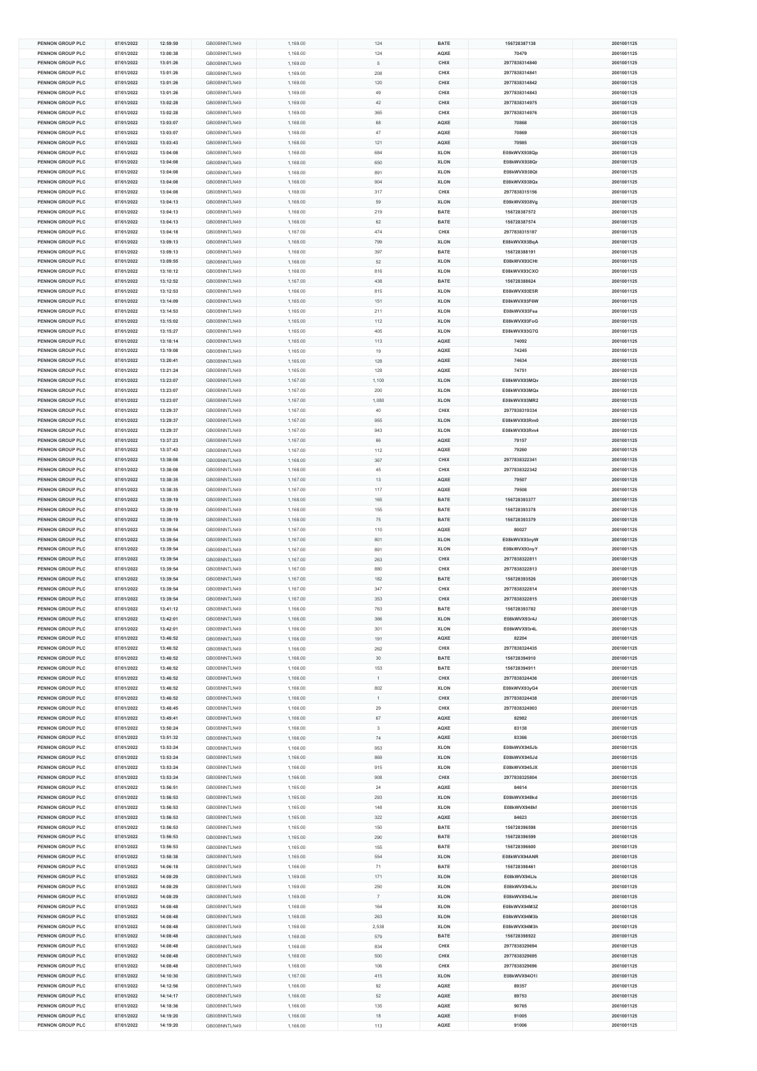| <b>PENNON GROUP PLC</b> | 07/01/2022 | 12:59:59 | GB00BNNTLN49 | 1,169.00 | 124            | <b>BATE</b> | 156728387138  | 2001001125 |
|-------------------------|------------|----------|--------------|----------|----------------|-------------|---------------|------------|
| PENNON GROUP PLC        | 07/01/2022 | 13:00:38 | GB00BNNTLN49 | 1.168.00 | 124            | AQXE        | 70479         | 2001001125 |
| PENNON GROUP PLC        | 07/01/2022 | 13:01:26 | GB00BNNTLN49 | 1,169.00 | 5              | CHIX        | 2977838314840 | 2001001125 |
|                         |            |          |              |          |                |             |               |            |
| <b>PENNON GROUP PLC</b> | 07/01/2022 | 13:01:26 | GB00BNNTLN49 | 1,169.00 | 208            | CHIX        | 2977838314841 | 2001001125 |
| PENNON GROUP PLC        | 07/01/2022 | 13:01:26 | GB00BNNTLN49 | 1,169.00 | 120            | CHIX        | 2977838314842 | 2001001125 |
| PENNON GROUP PLC        | 07/01/2022 | 13:01:26 | GB00BNNTLN49 | 1,169.00 | 49             | CHIX        | 2977838314843 | 2001001125 |
| PENNON GROUP PLC        | 07/01/2022 | 13:02:28 | GB00BNNTLN49 | 1,169.00 | 42             | CHIX        | 2977838314975 | 2001001125 |
|                         |            |          |              |          |                |             |               |            |
| PENNON GROUP PLC        | 07/01/2022 | 13:02:28 | GB00BNNTLN49 | 1,169.00 | 365            | CHIX        | 2977838314976 | 2001001125 |
| PENNON GROUP PLC        | 07/01/2022 | 13:03:07 | GB00BNNTLN49 | 1,168.00 | 68             | AQXE        | 70868         | 2001001125 |
| PENNON GROUP PLC        | 07/01/2022 | 13:03:07 | GB00BNNTLN49 | 1,168.00 | $47\,$         | AQXE        | 70869         | 2001001125 |
| PENNON GROUP PLC        | 07/01/2022 | 13:03:43 | GB00BNNTLN49 | 1,168.00 | 121            | AQXE        | 70985         | 2001001125 |
| PENNON GROUP PLC        | 07/01/2022 | 13:04:08 | GB00BNNTLN49 | 1,168.00 | 684            | <b>XLON</b> | E08kWVX938Qp  | 2001001125 |
|                         |            |          |              |          |                |             |               |            |
| PENNON GROUP PLC        | 07/01/2022 | 13:04:08 | GB00BNNTLN49 | 1,168.00 | 650            | <b>XLON</b> | E08kWVX938Qr  | 2001001125 |
| <b>PENNON GROUP PLC</b> | 07/01/2022 | 13:04:08 | GB00BNNTLN49 | 1,168.00 | 891            | <b>XLON</b> | E08kWVX938Qt  | 2001001125 |
| PENNON GROUP PLC        | 07/01/2022 | 13:04:08 | GB00BNNTLN49 | 1,168.00 | 904            | <b>XLON</b> | E08kWVX938Qx  | 2001001125 |
| PENNON GROUP PLC        | 07/01/2022 | 13:04:08 | GB00BNNTLN49 | 1,168.00 | 317            | CHIX        | 2977838315156 | 2001001125 |
|                         |            |          |              |          |                |             |               |            |
| PENNON GROUP PLC        | 07/01/2022 | 13:04:13 | GB00BNNTLN49 | 1,168.00 | 59             | <b>XLON</b> | E08kWVX938Vg  | 2001001125 |
| <b>PENNON GROUP PLC</b> | 07/01/2022 | 13:04:13 | GB00BNNTLN49 | 1,168.00 | 219            | <b>BATE</b> | 156728387572  | 2001001125 |
| <b>PENNON GROUP PLC</b> | 07/01/2022 | 13:04:13 | GB00BNNTLN49 | 1,168.00 | 62             | <b>BATE</b> | 156728387574  | 2001001125 |
| PENNON GROUP PLC        | 07/01/2022 | 13:04:18 | GB00BNNTLN49 | 1,167.00 | 474            | CHIX        | 2977838315187 | 2001001125 |
| PENNON GROUP PLC        |            |          |              |          |                |             | E08kWVX93BqA  | 2001001125 |
|                         | 07/01/2022 | 13:09:13 | GB00BNNTLN49 | 1,168.00 | 799            | <b>XLON</b> |               |            |
| PENNON GROUP PLC        | 07/01/2022 | 13:09:13 | GB00BNNTLN49 | 1,168.00 | 397            | <b>BATE</b> | 156728388191  | 2001001125 |
| PENNON GROUP PLC        | 07/01/2022 | 13:09:55 | GB00BNNTLN49 | 1,168.00 | 52             | <b>XLON</b> | E08kWVX93CHt  | 2001001125 |
| <b>PENNON GROUP PLC</b> | 07/01/2022 | 13:10:12 | GB00BNNTLN49 | 1,168.00 | 816            | <b>XLON</b> | E08kWVX93CXO  | 2001001125 |
| PENNON GROUP PLC        | 07/01/2022 | 13:12:52 | GB00BNNTLN49 | 1,167.00 | 438            | BATE        | 156728388624  | 2001001125 |
|                         |            |          |              |          |                |             |               |            |
| PENNON GROUP PLC        | 07/01/2022 | 13:12:53 | GB00BNNTLN49 | 1,166.00 | 815            | <b>XLON</b> | E08kWVX93E5R  | 2001001125 |
| PENNON GROUP PLC        | 07/01/2022 | 13:14:09 | GB00BNNTLN49 | 1,165.00 | 151            | <b>XLON</b> | E08kWVX93F6W  | 2001001125 |
| <b>PENNON GROUP PLC</b> | 07/01/2022 | 13:14:53 | GB00BNNTLN49 | 1,165.00 | 211            | <b>XLON</b> | E08kWVX93Fea  | 2001001125 |
| <b>PENNON GROUP PLC</b> | 07/01/2022 | 13:15:02 | GB00BNNTLN49 | 1,165.00 | 112            | <b>XLON</b> | E08kWVX93FoG  | 2001001125 |
| PENNON GROUP PLC        | 07/01/2022 | 13:15:27 | GB00BNNTLN49 | 1,165.00 | 405            | <b>XLON</b> | E08kWVX93G7G  | 2001001125 |
|                         |            |          |              |          |                |             |               |            |
| PENNON GROUP PLC        | 07/01/2022 | 13:18:14 | GB00BNNTLN49 | 1,165.00 | 113            | AQXE        | 74092         | 2001001125 |
| PENNON GROUP PLC        | 07/01/2022 | 13:19:08 | GB00BNNTLN49 | 1,165.00 | 19             | AQXE        | 74245         | 2001001125 |
| PENNON GROUP PLC        | 07/01/2022 | 13:20:41 | GB00BNNTLN49 | 1,165.00 | 128            | AQXE        | 74634         | 2001001125 |
| <b>PENNON GROUP PLC</b> | 07/01/2022 | 13:21:24 | GB00BNNTLN49 | 1,165.00 | 128            | AQXE        | 74751         | 2001001125 |
|                         |            |          |              |          |                |             |               |            |
| PENNON GROUP PLC        | 07/01/2022 | 13:23:07 | GB00BNNTLN49 | 1,167.00 | 1,100          | <b>XLON</b> | E08kWVX93MQv  | 2001001125 |
| PENNON GROUP PLC        | 07/01/2022 | 13:23:07 | GB00BNNTLN49 | 1,167.00 | 200            | <b>XLON</b> | E08kWVX93MQx  | 2001001125 |
| PENNON GROUP PLC        | 07/01/2022 | 13:23:07 | GB00BNNTLN49 | 1,167.00 | 1.080          | <b>XLON</b> | E08kWVX93MR2  | 2001001125 |
| <b>PENNON GROUP PLC</b> | 07/01/2022 | 13:29:37 | GB00BNNTLN49 | 1,167.00 | 40             | CHIX        | 2977838319334 | 2001001125 |
|                         |            |          |              |          |                |             |               |            |
| <b>PENNON GROUP PLC</b> | 07/01/2022 | 13:29:37 | GB00BNNTLN49 | 1,167.00 | 955            | <b>XLON</b> | E08kWVX93Rm0  | 2001001125 |
| PENNON GROUP PLC        | 07/01/2022 | 13:29:37 | GB00BNNTLN49 | 1,167.00 | 943            | <b>XLON</b> | E08kWVX93Rm4  | 2001001125 |
| PENNON GROUP PLC        | 07/01/2022 | 13:37:23 | GB00BNNTLN49 | 1,167.00 | 66             | AQXE        | 79157         | 2001001125 |
| PENNON GROUP PLC        | 07/01/2022 | 13:37:43 | GB00BNNTLN49 | 1,167.00 | 112            | AQXE        | 79260         | 2001001125 |
| <b>PENNON GROUP PLC</b> |            |          | GB00BNNTLN49 |          |                | CHIX        | 2977838322341 | 2001001125 |
|                         | 07/01/2022 | 13:38:08 |              | 1,168.00 | 367            |             |               |            |
| <b>PENNON GROUP PLC</b> | 07/01/2022 | 13:38:08 | GB00BNNTLN49 | 1,168.00 | 45             | CHIX        | 2977838322342 | 2001001125 |
| PENNON GROUP PLC        | 07/01/2022 | 13:38:35 | GB00BNNTLN49 | 1,167.00 | 13             | AQXE        | 79507         | 2001001125 |
| PENNON GROUP PLC        | 07/01/2022 | 13:38:35 | GB00BNNTLN49 | 1,167.00 | 117            | AQXE        | 79508         | 2001001125 |
| PENNON GROUP PLC        | 07/01/2022 | 13:39:19 | GB00BNNTLN49 | 1,168.00 | 165            | <b>BATE</b> | 156728393377  | 2001001125 |
|                         |            |          |              |          |                |             |               |            |
| <b>PENNON GROUP PLC</b> | 07/01/2022 | 13:39:19 | GB00BNNTLN49 | 1,168.00 | 155            | <b>BATE</b> | 156728393378  | 2001001125 |
| <b>PENNON GROUP PLC</b> | 07/01/2022 | 13:39:19 | GB00BNNTLN49 | 1,168.00 | 75             | <b>BATE</b> | 156728393379  | 2001001125 |
| PENNON GROUP PLC        | 07/01/2022 | 13:39:54 | GB00BNNTLN49 | 1,167.00 | 110            | AQXE        | 80027         | 2001001125 |
| PENNON GROUP PLC        | 07/01/2022 | 13:39:54 | GB00BNNTLN49 | 1,167.00 | 801            | <b>XLON</b> | E08kWVX93nyW  | 2001001125 |
| PENNON GROUP PLC        | 07/01/2022 | 13:39:54 | GB00BNNTLN49 | 1,167.00 | 891            | <b>XLON</b> | E08kWVX93nyY  | 2001001125 |
|                         |            |          |              |          |                |             |               |            |
| <b>PENNON GROUP PLC</b> | 07/01/2022 | 13:39:54 | GB00BNNTLN49 | 1,167.00 | 263            | CHIX        | 2977838322811 | 2001001125 |
| <b>PENNON GROUP PLC</b> | 07/01/2022 | 13:39:54 | GB00BNNTLN49 | 1,167.00 | 880            | CHIX        | 2977838322813 | 2001001125 |
| PENNON GROUP PLC        | 07/01/2022 | 13:39:54 | GB00BNNTLN49 | 1,167.00 | 182            | BATE        | 156728393526  | 2001001125 |
| PENNON GROUP PLC        | 07/01/2022 | 13:39:54 | GB00BNNTLN49 | 1,167.00 | 347            | CHIX        | 2977838322814 | 2001001125 |
| PENNON GROUP PLC        | 07/01/2022 | 13:39:54 | GB00BNNTLN49 | 1,167.00 | 353            | CHIX        | 2977838322815 | 2001001125 |
|                         |            |          |              |          |                | <b>BATE</b> |               |            |
| <b>PENNON GROUP PLC</b> | 07/01/2022 | 13:41:12 | GB00BNNTLN49 | 1,166.00 | 763            |             | 156728393782  | 2001001125 |
| <b>PENNON GROUP PLC</b> | 07/01/2022 | 13:42:01 | GB00BNNTLN49 | 1,166.00 | 366            | <b>XLON</b> | E08kWVX93r4J  | 2001001125 |
| PENNON GROUP PLC        | 07/01/2022 | 13:42:01 | GB00BNNTLN49 | 1,166.00 | 301            | <b>XLON</b> | E08kWVX93r4L  | 2001001125 |
| PENNON GROUP PLC        | 07/01/2022 | 13:46:52 | GB00BNNTLN49 | 1,166.00 | 191            | AQXE        | 82204         | 2001001125 |
| PENNON GROUP PLC        | 07/01/2022 | 13:46:52 | GB00BNNTLN49 | 1,166.00 | 262            |             | 2977838324435 | 2001001125 |
| <b>PENNON GROUP PLC</b> | 07/01/2022 | 13:46:52 | GB00BNNTLN49 |          |                | CHIX        |               |            |
|                         |            |          |              | 1,166.00 |                |             |               |            |
| PENNON GROUP PLC        | 07/01/2022 | 13:46:52 | GB00BNNTLN49 |          | $30\,$         | <b>BATE</b> | 156728394910  | 2001001125 |
| PENNON GROUP PLC        | 07/01/2022 | 13:46:52 |              | 1,166.00 | 153            | <b>BATE</b> | 156728394911  | 2001001125 |
| PENNON GROUP PLC        | 07/01/2022 |          | GB00BNNTLN49 | 1,166.00 | 1              | CHIX        | 2977838324436 | 2001001125 |
| PENNON GROUP PLC        |            | 13:46:52 | GB00BNNTLN49 | 1,166.00 | 802            | <b>XLON</b> | E08kWVX93yG4  | 2001001125 |
|                         |            |          |              |          |                |             |               |            |
| <b>PENNON GROUP PLC</b> | 07/01/2022 | 13:46:52 | GB00BNNTLN49 | 1.166.00 | $\overline{1}$ | CHIX        | 2977838324438 | 2001001125 |
|                         | 07/01/2022 | 13:48:45 | GB00BNNTLN49 | 1,166.00 | 29             | CHIX        | 2977838324903 | 2001001125 |
| PENNON GROUP PLC        | 07/01/2022 | 13:49:41 | GB00BNNTLN49 | 1,166.00 | 67             | AQXE        | 82982         | 2001001125 |
| PENNON GROUP PLC        | 07/01/2022 | 13:50:24 | GB00BNNTLN49 | 1,166.00 | $\mathbf{3}$   | AQXE        | 83138         | 2001001125 |
| PENNON GROUP PLC        | 07/01/2022 | 13:51:32 | GB00BNNTLN49 | 1,166.00 | 74             | AQXE        | 83366         | 2001001125 |
| PENNON GROUP PLC        | 07/01/2022 | 13:53:24 | GB00BNNTLN49 | 1,166.00 | 953            | <b>XLON</b> | E08kWVX945Jb  | 2001001125 |
|                         |            |          |              |          |                |             |               |            |
| <b>PENNON GROUP PLC</b> | 07/01/2022 | 13:53:24 | GB00BNNTLN49 | 1,166.00 | 869            | <b>XLON</b> | E08kWVX945Jd  | 2001001125 |
| PENNON GROUP PLC        | 07/01/2022 | 13:53:24 | GB00BNNTLN49 | 1,166.00 | 915            | <b>XLON</b> | E08kWVX945JX  | 2001001125 |
| PENNON GROUP PLC        | 07/01/2022 | 13:53:24 | GB00BNNTLN49 | 1,166.00 | 908            | CHIX        | 2977838325804 | 2001001125 |
| PENNON GROUP PLC        | 07/01/2022 | 13:56:51 | GB00BNNTLN49 | 1.165.00 | 24             | AQXE        | 84614         | 2001001125 |
| PENNON GROUP PLC        | 07/01/2022 | 13:56:53 | GB00BNNTLN49 | 1.165.00 | 293            | <b>XLON</b> | E08kWVX948kd  | 2001001125 |
|                         |            |          |              |          |                |             |               |            |
| <b>PENNON GROUP PLC</b> | 07/01/2022 | 13:56:53 | GB00BNNTLN49 | 1,165.00 | 148            | <b>XLON</b> | E08kWVX948kf  | 2001001125 |
| PENNON GROUP PLC        | 07/01/2022 | 13:56:53 | GB00BNNTLN49 | 1,165.00 | 322            | AQXE        | 84623         | 2001001125 |
| PENNON GROUP PLC        | 07/01/2022 | 13:56:53 | GB00BNNTLN49 | 1,165.00 | 150            | BATE        | 156728396598  | 2001001125 |
| PENNON GROUP PLC        | 07/01/2022 | 13:56:53 | GB00BNNTLN49 | 1,165.00 | 290            | BATE        | 156728396599  | 2001001125 |
|                         | 07/01/2022 | 13:56:53 | GB00BNNTLN49 |          |                | <b>BATE</b> |               | 2001001125 |
| PENNON GROUP PLC        |            |          |              | 1,165.00 | 155            |             | 156728396600  |            |
| <b>PENNON GROUP PLC</b> | 07/01/2022 | 13:58:38 | GB00BNNTLN49 | 1,165.00 | 554            | <b>XLON</b> | E08kWVX94ANR  | 2001001125 |
| PENNON GROUP PLC        | 07/01/2022 | 14:06:18 | GB00BNNTLN49 | 1,166.00 | 71             | BATE        | 156728398461  | 2001001125 |
| PENNON GROUP PLC        | 07/01/2022 | 14:08:29 | GB00BNNTLN49 | 1,169.00 | 171            | <b>XLON</b> | E08kWVX94LIs  | 2001001125 |
| PENNON GROUP PLC        | 07/01/2022 | 14:08:29 | GB00BNNTLN49 | 1.169.00 | 250            | <b>XLON</b> | E08kWVX94Llu  | 2001001125 |
|                         |            |          |              |          |                |             |               |            |
| PENNON GROUP PLC        | 07/01/2022 | 14:08:29 | GB00BNNTLN49 | 1,169.00 | $\overline{7}$ | <b>XLON</b> | E08kWVX94Llw  | 2001001125 |
| <b>PENNON GROUP PLC</b> | 07/01/2022 | 14:08:48 | GB00BNNTLN49 | 1,168.00 | 164            | <b>XLON</b> | E08kWVX94M3Z  | 2001001125 |
| PENNON GROUP PLC        | 07/01/2022 | 14:08:48 | GB00BNNTLN49 | 1,168.00 | 263            | <b>XLON</b> | E08kWVX94M3b  | 2001001125 |
| PENNON GROUP PLC        | 07/01/2022 | 14:08:48 | GB00BNNTLN49 | 1,168.00 | 2,538          | <b>XLON</b> | E08kWVX94M3h  | 2001001125 |
| PENNON GROUP PLC        | 07/01/2022 | 14:08:48 | GB00BNNTLN49 | 1.168.00 | 579            | BATE        | 156728398922  | 2001001125 |
|                         |            |          |              |          |                |             |               |            |
| PENNON GROUP PLC        | 07/01/2022 | 14:08:48 | GB00BNNTLN49 | 1,168.00 | 834            | CHIX        | 2977838329694 | 2001001125 |
| <b>PENNON GROUP PLC</b> | 07/01/2022 | 14:08:48 | GB00BNNTLN49 | 1,168.00 | 500            | CHIX        | 2977838329695 | 2001001125 |
| PENNON GROUP PLC        | 07/01/2022 | 14:08:48 | GB00BNNTLN49 | 1,168.00 | 106            | CHIX        | 2977838329696 | 2001001125 |
| PENNON GROUP PLC        | 07/01/2022 | 14:10:30 | GB00BNNTLN49 | 1,167.00 | 415            | <b>XLON</b> | E08kWVX94O1I  | 2001001125 |
|                         |            |          |              |          |                |             |               |            |
| PENNON GROUP PLC        | 07/01/2022 | 14:12:56 | GB00BNNTLN49 | 1,166.00 | 92             | AQXE        | 89357         | 2001001125 |
| PENNON GROUP PLC        | 07/01/2022 | 14:14:17 | GB00BNNTLN49 | 1,166.00 | 52             | AQXE        | 89753         | 2001001125 |
| <b>PENNON GROUP PLC</b> | 07/01/2022 | 14:18:36 | GB00BNNTLN49 | 1,166.00 | 135            | AQXE        | 90765         | 2001001125 |
| PENNON GROUP PLC        | 07/01/2022 | 14:19:20 | GB00BNNTLN49 | 1,166.00 | 18             | AQXE        | 91005         | 2001001125 |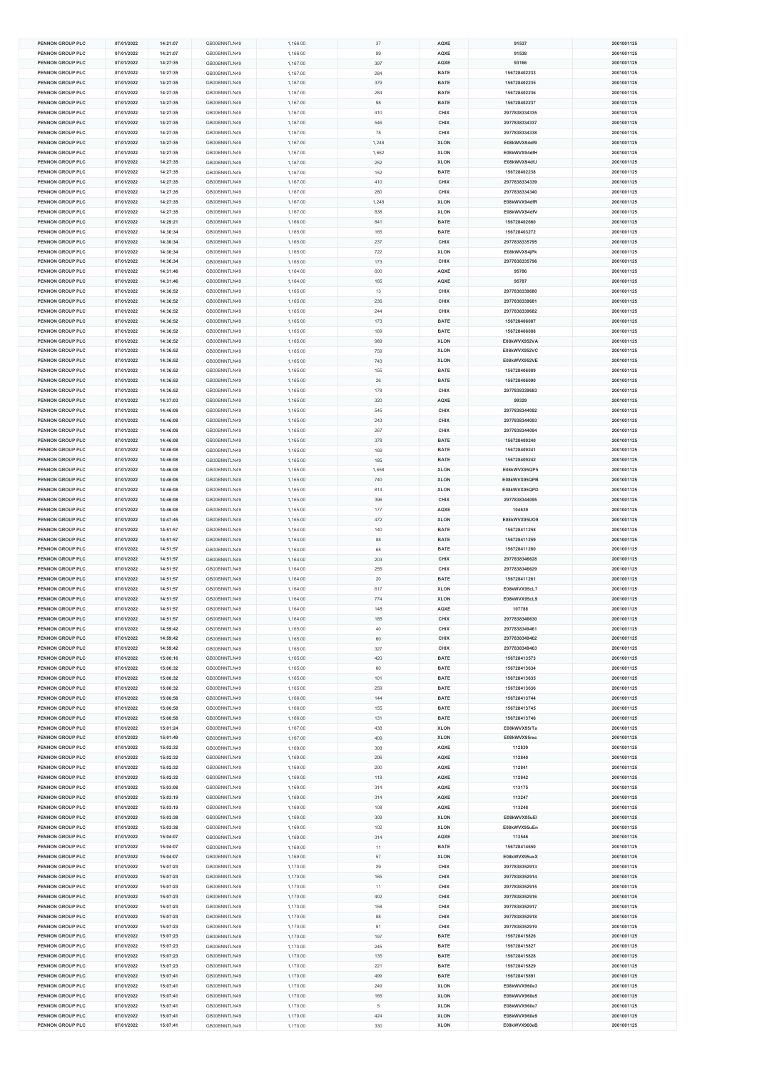| <b>PENNON GROUP PLC</b>              | 07/01/2022               | 14:21:07             | GB00BNNTLN49                 |
|--------------------------------------|--------------------------|----------------------|------------------------------|
| PENNON GROUP PLC                     | 07/01/2022               | 14:21:07             | GB00BNNTLN49                 |
|                                      |                          |                      |                              |
| PENNON GROUP PLC                     | 07/01/2022               | 14:27:35             | GB00BNNTLN49                 |
| <b>PENNON GROUP PLC</b>              | 07/01/2022               | 14:27:35             | GB00BNNTLN49                 |
|                                      |                          |                      |                              |
| PENNON GROUP PLC                     | 07/01/2022               | 14:27:35             | GB00BNNTLN49                 |
| PENNON GROUP PLC                     | 07/01/2022               | 14:27:35             | GB00BNNTLN49                 |
| PENNON GROUP PLC                     | 07/01/2022               | 14:27:35             | GB00BNNTLN49                 |
|                                      |                          |                      |                              |
| <b>PENNON GROUP PLC</b>              | 07/01/2022               | 14:27:35             | GB00BNNTLN49                 |
| <b>PENNON GROUP PLC</b>              | 07/01/2022               | 14:27:35             | GB00BNNTLN49                 |
|                                      |                          |                      |                              |
| PENNON GROUP PLC                     | 07/01/2022               | 14:27:35             | GB00BNNTLN49                 |
| PENNON GROUP PLC                     | 07/01/2022               | 14:27:35             | GB00BNNTLN49                 |
|                                      |                          |                      |                              |
| PENNON GROUP PLC                     | 07/01/2022               | 14:27:35             | GB00BNNTLN49                 |
| PENNON GROUP PLC                     | 07/01/2022               | 14:27:35             | GB00BNNTLN49                 |
| <b>PENNON GROUP PLC</b>              |                          |                      | GB00BNNTLN49                 |
|                                      | 07/01/2022               | 14:27:35             |                              |
| PENNON GROUP PLC                     | 07/01/2022               | 14:27:35             | GB00BNNTLN49                 |
| PENNON GROUP PLC                     | 07/01/2022               | 14:27:35             | GB00BNNTLN49                 |
|                                      |                          |                      |                              |
| PENNON GROUP PLC                     | 07/01/2022               | 14:27:35             | GB00BNNTLN49                 |
| <b>PENNON GROUP PLC</b>              | 07/01/2022               | 14:27:35             | GB00BNNTLN49                 |
|                                      |                          |                      |                              |
| <b>PENNON GROUP PLC</b>              | 07/01/2022               | 14:29:21             | GB00BNNTLN49                 |
| PENNON GROUP PLC                     | 07/01/2022               | 14:30:34             | GB00BNNTLN49                 |
|                                      |                          |                      |                              |
| PENNON GROUP PLC                     | 07/01/2022               | 14:30:34             | GB00BNNTLN49                 |
| PENNON GROUP PLC                     | 07/01/2022               | 14:30:34             | GB00BNNTLN49                 |
| PENNON GROUP PLC                     | 07/01/2022               | 14:30:34             | GB00BNNTLN49                 |
|                                      |                          |                      |                              |
| <b>PENNON GROUP PLC</b>              | 07/01/2022               | 14:31:46             | GB00BNNTLN49                 |
| PENNON GROUP PLC                     | 07/01/2022               | 14:31:46             | GB00BNNTLN49                 |
|                                      |                          |                      |                              |
| PENNON GROUP PLC                     | 07/01/2022               | 14:36:52             | GB00BNNTLN49                 |
| PENNON GROUP PLC                     | 07/01/2022               | 14:36:52             | GB00BNNTLN49                 |
|                                      |                          |                      |                              |
| <b>PENNON GROUP PLC</b>              | 07/01/2022               | 14:36:52             | GB00BNNTLN49                 |
| <b>PENNON GROUP PLC</b>              | 07/01/2022               | 14:36:52             | GB00BNNTLN49                 |
|                                      |                          |                      |                              |
| PENNON GROUP PLC                     | 07/01/2022               | 14:36:52             | GB00BNNTLN49                 |
| PENNON GROUP PLC                     | 07/01/2022               | 14:36:52             | GB00BNNTLN49                 |
| PENNON GROUP PLC                     | 07/01/2022               | 14:36:52             | GB00BNNTLN49                 |
|                                      |                          |                      |                              |
| PENNON GROUP PLC                     | 07/01/2022               | 14:36:52             | GB00BNNTLN49                 |
| PENNON GROUP PLC                     | 07/01/2022               | 14:36:52             | GB00BNNTLN49                 |
|                                      |                          |                      |                              |
| PENNON GROUP PLC                     | 07/01/2022               | 14:36:52             | GB00BNNTLN49                 |
| PENNON GROUP PLC                     | 07/01/2022               | 14:36:52             | GB00BNNTLN49                 |
|                                      |                          |                      |                              |
| PENNON GROUP PLC                     | 07/01/2022               | 14:37:03             | GB00BNNTLN49                 |
| <b>PENNON GROUP PLC</b>              | 07/01/2022               | 14:46:08             | GB00BNNTLN49                 |
|                                      |                          |                      |                              |
| <b>PENNON GROUP PLC</b>              | 07/01/2022               | 14:46:08             | GB00BNNTLN49                 |
| PENNON GROUP PLC                     | 07/01/2022               | 14:46:08             | GB00BNNTLN49                 |
|                                      |                          |                      |                              |
| PENNON GROUP PLC                     | 07/01/2022               | 14:46:08             | GB00BNNTLN49                 |
| PENNON GROUP PLC                     | 07/01/2022               | 14:46:08             | GB00BNNTLN49                 |
| <b>PENNON GROUP PLC</b>              | 07/01/2022               | 14:46:08             | GB00BNNTLN49                 |
|                                      |                          |                      |                              |
| <b>PENNON GROUP PLC</b>              | 07/01/2022               | 14:46:08             | GB00BNNTLN49                 |
| PENNON GROUP PLC                     | 07/01/2022               | 14:46:08             | GB00BNNTLN49                 |
|                                      |                          |                      |                              |
| PENNON GROUP PLC                     | 07/01/2022               | 14:46:08             | GB00BNNTLN49                 |
| PENNON GROUP PLC                     | 07/01/2022               | 14:46:08             | GB00BNNTLN49                 |
| <b>PENNON GROUP PLC</b>              |                          |                      |                              |
|                                      | 07/01/2022               | 14:46:08             | GB00BNNTLN49                 |
| <b>PENNON GROUP PLC</b>              | 07/01/2022               | 14:47:45             | GB00BNNTLN49                 |
| PENNON GROUP PLC                     | 07/01/2022               | 14:51:57             | GB00BNNTLN49                 |
|                                      |                          |                      |                              |
| PENNON GROUP PLC                     | 07/01/2022               | 14:51:57             | GB00BNNTLN49                 |
| PENNON GROUP PLC                     | 07/01/2022               | 14:51:57             | GB00BNNTLN49                 |
|                                      |                          |                      |                              |
| <b>PENNON GROUP PLC</b>              | 07/01/2022               | 14:51:57             | GB00BNNTLN49                 |
| <b>PENNON GROUP PLC</b>              | 07/01/2022               | 14:51:57             | GB00BNNTLN49                 |
| PENNON GROUP PLC                     | 07/01/2022               | 14:51:57             |                              |
|                                      |                          |                      | GB00BNNTLN49                 |
| PENNON GROUP PLC                     | 07/01/2022               | 14:51:57             | GB00BNNTLN49                 |
| PENNON GROUP PLC                     | 07/01/2022               | 14:51:57             | GB00BNNTLN49                 |
|                                      |                          |                      |                              |
| <b>PENNON GROUP PLC</b>              | 07/01/2022               | 14:51:57             | GB00BNNTLN49                 |
| <b>PENNON GROUP PLC</b>              | 07/01/2022               | 14:51:57             | GB00BNNTLN49                 |
|                                      |                          |                      | GB00BNNTLN49                 |
| PENNON GROUP PLC                     | 07/01/2022               | 14:59:42             |                              |
| <b>PENNON GROUP PLC</b>              | 07/01/2022               | 14:59:42             |                              |
|                                      | 07/01/2022               |                      | GB00BNNTLN49                 |
| PENNON GROUP PLC                     |                          |                      |                              |
| <b>PENNON GROUP PLC</b>              | 07/01/2022               | 14:59:42             | GB00BNNTLN49                 |
| PENNON GROUP PLC                     |                          | 15:00:16             | GB00BNNTLN49                 |
|                                      |                          |                      |                              |
| PENNON GROUP PLC                     | 07/01/2022               | 15:00:32             | GB00BNNTLN49                 |
|                                      | 07/01/2022               | 15:00:32             | GB00BNNTLN49                 |
| PENNON GROUP PLC                     | 07/01/2022               | 15:00:32             | GB00BNNTLN49                 |
|                                      |                          |                      |                              |
| PENNON GROUP PLC                     | 07/01/2022               | 15:00:58             | GB00BNNTLN49                 |
| PENNON GROUP PLC                     | 07/01/2022               | 15:00:58             | GB00BNNTLN49                 |
|                                      |                          |                      |                              |
| PENNON GROUP PLC                     | 07/01/2022               | 15:00:58             | GB00BNNTLN49                 |
| PENNON GROUP PLC                     | 07/01/2022               | 15:01:24             | GB00BNNTLN49                 |
| PENNON GROUP PLC                     | 07/01/2022               | 15:01:49             | GB00BNNTLN49                 |
|                                      |                          |                      |                              |
| PENNON GROUP PLC                     | 07/01/2022               | 15:02:32             | GB00BNNTLN49                 |
| <b>PENNON GROUP PLC</b>              | 07/01/2022               | 15:02:32             | GB00BNNTLN49                 |
|                                      |                          |                      |                              |
| PENNON GROUP PLC                     | 07/01/2022               | 15:02:32             | GB00BNNTLN49                 |
| PENNON GROUP PLC                     | 07/01/2022               | 15:02:32             | GB00BNNTLN49                 |
|                                      |                          |                      |                              |
| PENNON GROUP PLC                     | 07/01/2022               | 15:03:08             | GB00BNNTLN49                 |
| PENNON GROUP PLC                     | 07/01/2022               | 15:03:19             | GB00BNNTLN49                 |
| <b>PENNON GROUP PLC</b>              |                          | 15:03:19             | GB00BNNTLN49                 |
|                                      | 07/01/2022               |                      |                              |
| PENNON GROUP PLC                     | 07/01/2022               | 15:03:38             | GB00BNNTLN49                 |
| PENNON GROUP PLC                     | 07/01/2022               | 15:03:38             | GB00BNNTLN49                 |
|                                      |                          |                      |                              |
| PENNON GROUP PLC                     | 07/01/2022               | 15:04:07             | GB00BNNTLN49                 |
| PENNON GROUP PLC                     | 07/01/2022               | 15:04:07             | GB00BNNTLN49                 |
|                                      |                          |                      |                              |
| <b>PENNON GROUP PLC</b>              | 07/01/2022               | 15:04:07             | GB00BNNTLN49                 |
| PENNON GROUP PLC                     | 07/01/2022               | 15:07:23             | GB00BNNTLN49                 |
|                                      |                          |                      |                              |
| PENNON GROUP PLC                     | 07/01/2022               | 15:07:23             | GB00BNNTLN49                 |
| <b>PENNON GROUP PLC</b>              | 07/01/2022               | 15:07:23             | GB00BNNTLN49                 |
| PENNON GROUP PLC                     | 07/01/2022               | 15:07:23             | GB00BNNTLN49                 |
|                                      |                          |                      |                              |
| <b>PENNON GROUP PLC</b>              | 07/01/2022               | 15:07:23             | GB00BNNTLN49                 |
| PENNON GROUP PLC                     | 07/01/2022               | 15:07:23             | GB00BNNTLN49                 |
|                                      |                          |                      |                              |
| PENNON GROUP PLC                     | 07/01/2022               | 15:07:23             | GB00BNNTLN49                 |
| PENNON GROUP PLC                     | 07/01/2022               | 15:07:23             | GB00BNNTLN49                 |
|                                      |                          | 15:07:23             |                              |
| PENNON GROUP PLC                     | 07/01/2022               |                      | GB00BNNTLN49                 |
| <b>PENNON GROUP PLC</b>              | 07/01/2022               | 15:07:23             | GB00BNNTLN49                 |
|                                      |                          |                      |                              |
| PENNON GROUP PLC                     | 07/01/2022               | 15:07:23             | GB00BNNTLN49                 |
| PENNON GROUP PLC                     | 07/01/2022               | 15:07:41             | GB00BNNTLN49                 |
| PENNON GROUP PLC                     | 07/01/2022               | 15:07:41             | GB00BNNTLN49                 |
|                                      |                          |                      |                              |
| PENNON GROUP PLC                     | 07/01/2022               | 15:07:41             | GB00BNNTLN49                 |
| <b>PENNON GROUP PLC</b>              | 07/01/2022               | 15:07:41             | GB00BNNTLN49                 |
|                                      |                          |                      |                              |
| PENNON GROUP PLC<br>PENNON GROUP PLC | 07/01/2022<br>07/01/2022 | 15:07:41<br>15:07:41 | GB00BNNTLN49<br>GB00BNNTLN49 |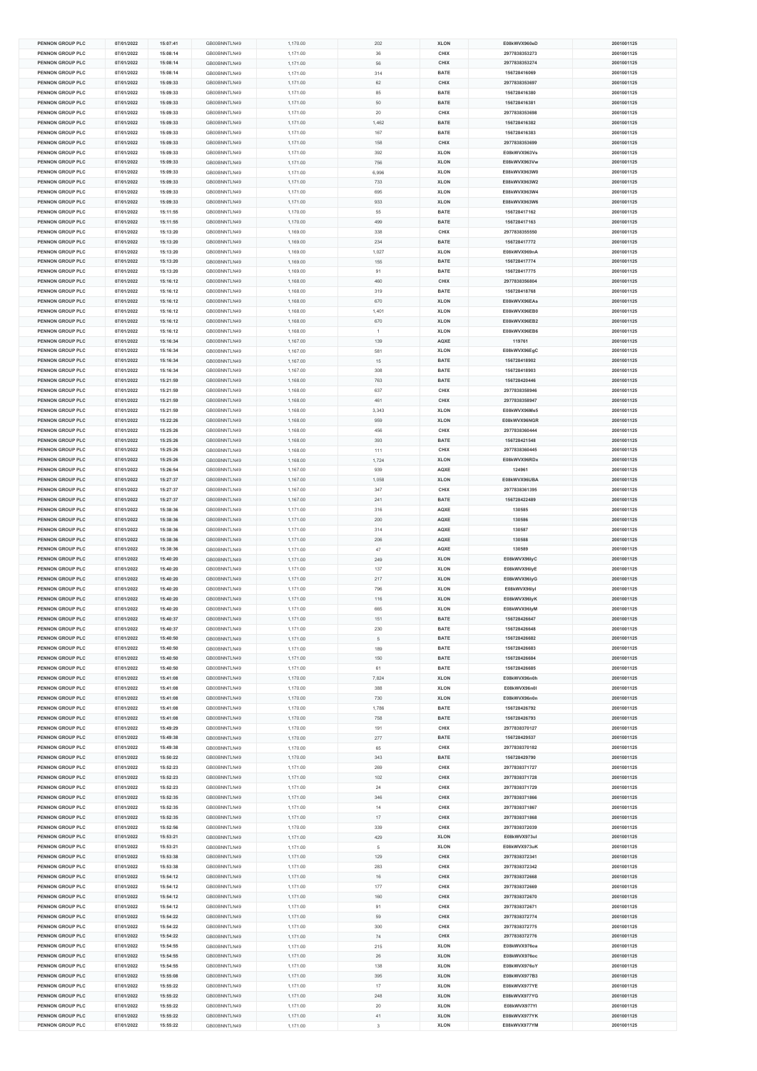| <b>PENNON GROUP PLC</b>              | 07/01/2022               | 15:07:41             | GB00BNNTLN49                 | 1,170.00             | 202     | <b>XLON</b>                | E08kWVX960eD                 | 2001001125               |
|--------------------------------------|--------------------------|----------------------|------------------------------|----------------------|---------|----------------------------|------------------------------|--------------------------|
| PENNON GROUP PLC                     | 07/01/2022               | 15:08:14             | GB00BNNTLN49                 | 1.171.00             | 36      | CHIX                       | 2977838353273                | 2001001125               |
|                                      | 07/01/2022               |                      |                              |                      |         |                            |                              |                          |
| PENNON GROUP PLC                     |                          | 15:08:14             | GB00BNNTLN49                 | 1,171.00             | 56      | CHIX                       | 2977838353274                | 2001001125               |
| <b>PENNON GROUP PLC</b>              | 07/01/2022               | 15:08:14             | GB00BNNTLN49                 | 1,171.00             | 314     | BATE                       | 156728416069                 | 2001001125               |
| PENNON GROUP PLC                     | 07/01/2022               | 15:09:33             | GB00BNNTLN49                 | 1,171.00             | 62      | CHIX                       | 2977838353697                | 2001001125               |
|                                      |                          |                      |                              |                      |         |                            |                              |                          |
| PENNON GROUP PLC                     | 07/01/2022               | 15:09:33             | GB00BNNTLN49                 | 1,171.00             | 85      | BATE                       | 156728416380                 | 2001001125               |
| PENNON GROUP PLC                     | 07/01/2022               | 15:09:33             | GB00BNNTLN49                 | 1,171.00             | 50      | BATE                       | 156728416381                 | 2001001125               |
| <b>PENNON GROUP PLC</b>              | 07/01/2022               | 15:09:33             | GB00BNNTLN49                 | 1,171.00             | $20\,$  | CHIX                       | 2977838353698                | 2001001125               |
|                                      |                          |                      |                              |                      |         |                            |                              |                          |
| <b>PENNON GROUP PLC</b>              | 07/01/2022               | 15:09:33             | GB00BNNTLN49                 | 1,171.00             | 1,462   | <b>BATE</b>                | 156728416382                 | 2001001125               |
| PENNON GROUP PLC                     | 07/01/2022               | 15:09:33             | GB00BNNTLN49                 | 1,171.00             | 167     | BATE                       | 156728416383                 | 2001001125               |
| PENNON GROUP PLC                     | 07/01/2022               | 15:09:33             | GB00BNNTLN49                 | 1,171.00             | 158     | CHIX                       | 2977838353699                | 2001001125               |
|                                      |                          |                      |                              |                      |         |                            |                              |                          |
| PENNON GROUP PLC                     | 07/01/2022               | 15:09:33             | GB00BNNTLN49                 | 1,171.00             | 392     | <b>XLON</b>                | E08kWVX963Vs                 | 2001001125               |
| PENNON GROUP PLC                     | 07/01/2022               | 15:09:33             | GB00BNNTLN49                 | 1,171.00             | 756     | <b>XLON</b>                | E08kWVX963Vw                 | 2001001125               |
| <b>PENNON GROUP PLC</b>              | 07/01/2022               | 15:09:33             | GB00BNNTLN49                 | 1,171.00             | 6,996   | <b>XLON</b>                | E08kWVX963W0                 | 2001001125               |
|                                      |                          |                      |                              |                      |         |                            |                              |                          |
| PENNON GROUP PLC                     | 07/01/2022               | 15:09:33             | GB00BNNTLN49                 | 1,171.00             | 733     | <b>XLON</b>                | E08kWVX963W2                 | 2001001125               |
| PENNON GROUP PLC                     | 07/01/2022               | 15:09:33             | GB00BNNTLN49                 | 1,171.00             | 695     | <b>XLON</b>                | E08kWVX963W4                 | 2001001125               |
| PENNON GROUP PLC                     | 07/01/2022               | 15:09:33             | GB00BNNTLN49                 | 1,171.00             | 933     | <b>XLON</b>                | E08kWVX963W6                 | 2001001125               |
| <b>PENNON GROUP PLC</b>              | 07/01/2022               | 15:11:55             |                              |                      |         | <b>BATE</b>                | 156728417162                 | 2001001125               |
|                                      |                          |                      | GB00BNNTLN49                 | 1,170.00             | 55      |                            |                              |                          |
| <b>PENNON GROUP PLC</b>              | 07/01/2022               | 15:11:55             | GB00BNNTLN49                 | 1,170.00             | 499     | <b>BATE</b>                | 156728417163                 | 2001001125               |
| PENNON GROUP PLC                     | 07/01/2022               | 15:13:20             | GB00BNNTLN49                 | 1,169.00             | 338     | CHIX                       | 2977838355550                | 2001001125               |
| PENNON GROUP PLC                     | 07/01/2022               | 15:13:20             | GB00BNNTLN49                 | 1,169.00             | 234     | BATE                       | 156728417772                 | 2001001125               |
|                                      |                          |                      |                              |                      |         |                            |                              |                          |
| PENNON GROUP PLC                     | 07/01/2022               | 15:13:20             | GB00BNNTLN49                 | 1,169.00             | 1,027   | <b>XLON</b>                | E08kWVX969nA                 | 2001001125               |
| PENNON GROUP PLC                     | 07/01/2022               | 15:13:20             | GB00BNNTLN49                 | 1,169.00             | 155     | <b>BATE</b>                | 156728417774                 | 2001001125               |
| <b>PENNON GROUP PLC</b>              | 07/01/2022               | 15:13:20             | GB00BNNTLN49                 | 1,169.00             | 91      | <b>BATE</b>                | 156728417775                 | 2001001125               |
|                                      |                          |                      |                              |                      |         |                            |                              |                          |
| PENNON GROUP PLC                     | 07/01/2022               | 15:16:12             | GB00BNNTLN49                 | 1,168.00             | 460     | CHIX                       | 2977838356804                | 2001001125               |
| PENNON GROUP PLC                     | 07/01/2022               | 15:16:12             | GB00BNNTLN49                 | 1,168.00             | 319     | BATE                       | 156728418768                 | 2001001125               |
| PENNON GROUP PLC                     | 07/01/2022               | 15:16:12             | GB00BNNTLN49                 | 1,168.00             | 670     | <b>XLON</b>                | E08kWVX96EAs                 | 2001001125               |
|                                      |                          |                      |                              |                      |         |                            |                              |                          |
| <b>PENNON GROUP PLC</b>              | 07/01/2022               | 15:16:12             | GB00BNNTLN49                 | 1,168.00             | 1,401   | <b>XLON</b>                | E08kWVX96EB0                 | 2001001125               |
| <b>PENNON GROUP PLC</b>              | 07/01/2022               | 15:16:12             | GB00BNNTLN49                 | 1,168.00             | 670     | <b>XLON</b>                | E08kWVX96EB2                 | 2001001125               |
| PENNON GROUP PLC                     | 07/01/2022               | 15:16:12             | GB00BNNTLN49                 | 1,168.00             | 1       | <b>XLON</b>                | E08kWVX96EB6                 | 2001001125               |
| <b>PENNON GROUP PLC</b>              | 07/01/2022               |                      |                              |                      |         |                            |                              | 2001001125               |
|                                      |                          | 15:16:34             | GB00BNNTLN49                 | 1,167.00             | 139     | AQXE                       | 119761                       |                          |
| PENNON GROUP PLC                     | 07/01/2022               | 15:16:34             | GB00BNNTLN49                 | 1,167.00             | 581     | <b>XLON</b>                | E08kWVX96EgC                 | 2001001125               |
| PENNON GROUP PLC                     | 07/01/2022               | 15:16:34             | GB00BNNTLN49                 | 1,167.00             | 15      | <b>BATE</b>                | 156728418902                 | 2001001125               |
| <b>PENNON GROUP PLC</b>              | 07/01/2022               | 15:16:34             | GB00BNNTLN49                 |                      |         | BATE                       | 156728418903                 | 2001001125               |
|                                      |                          |                      |                              | 1,167.00             | 308     |                            |                              |                          |
| PENNON GROUP PLC                     | 07/01/2022               | 15:21:59             | GB00BNNTLN49                 | 1,168.00             | 763     | BATE                       | 156728420446                 | 2001001125               |
| PENNON GROUP PLC                     | 07/01/2022               | 15:21:59             | GB00BNNTLN49                 | 1,168.00             | 637     | CHIX                       | 2977838358946                | 2001001125               |
| PENNON GROUP PLC                     | 07/01/2022               | 15:21:59             | GB00BNNTLN49                 | 1,168.00             | 461     | CHIX                       | 2977838358947                | 2001001125               |
|                                      |                          |                      |                              |                      |         |                            |                              |                          |
| <b>PENNON GROUP PLC</b>              | 07/01/2022               | 15:21:59             | GB00BNNTLN49                 | 1,168.00             | 3,343   | <b>XLON</b>                | E08kWVX96Me5                 | 2001001125               |
| <b>PENNON GROUP PLC</b>              | 07/01/2022               | 15:22:26             | GB00BNNTLN49                 | 1,168.00             | 959     | <b>XLON</b>                | E08kWVX96NGR                 | 2001001125               |
| PENNON GROUP PLC                     | 07/01/2022               | 15:25:26             | GB00BNNTLN49                 | 1,168.00             | 456     | CHIX                       | 2977838360444                | 2001001125               |
|                                      |                          |                      |                              |                      |         |                            |                              |                          |
| PENNON GROUP PLC                     | 07/01/2022               | 15:25:26             | GB00BNNTLN49                 | 1,168.00             | 393     | BATE                       | 156728421548                 | 2001001125               |
| PENNON GROUP PLC                     | 07/01/2022               | 15:25:26             | GB00BNNTLN49                 | 1,168.00             | 111     | CHIX                       | 2977838360445                | 2001001125               |
| <b>PENNON GROUP PLC</b>              | 07/01/2022               | 15:25:26             | GB00BNNTLN49                 | 1,168.00             | 1,724   | <b>XLON</b>                | E08kWVX96RDx                 | 2001001125               |
| <b>PENNON GROUP PLC</b>              | 07/01/2022               | 15:26:54             |                              |                      |         | AQXE                       | 124961                       | 2001001125               |
|                                      |                          |                      | GB00BNNTLN49                 | 1,167.00             | 939     |                            |                              |                          |
| PENNON GROUP PLC                     | 07/01/2022               | 15:27:37             | GB00BNNTLN49                 | 1,167.00             | 1,058   | <b>XLON</b>                | E08kWVX96UBA                 | 2001001125               |
| PENNON GROUP PLC                     | 07/01/2022               | 15:27:37             | GB00BNNTLN49                 | 1,167.00             | 347     | CHIX                       | 2977838361395                | 2001001125               |
| PENNON GROUP PLC                     | 07/01/2022               | 15:27:37             | GB00BNNTLN49                 | 1,167.00             | 241     | <b>BATE</b>                | 156728422489                 | 2001001125               |
| <b>PENNON GROUP PLC</b>              |                          |                      |                              |                      |         |                            |                              |                          |
|                                      |                          |                      |                              |                      |         |                            |                              |                          |
|                                      | 07/01/2022               | 15:38:36             | GB00BNNTLN49                 | 1,171.00             | 316     | AQXE                       | 130585                       | 2001001125               |
| <b>PENNON GROUP PLC</b>              | 07/01/2022               | 15:38:36             | GB00BNNTLN49                 | 1,171.00             | 200     | AQXE                       | 130586                       | 2001001125               |
| PENNON GROUP PLC                     | 07/01/2022               | 15:38:36             | GB00BNNTLN49                 | 1,171.00             | 314     | AQXE                       | 130587                       | 2001001125               |
|                                      | 07/01/2022               |                      |                              |                      |         |                            |                              |                          |
| PENNON GROUP PLC                     |                          | 15:38:36             | GB00BNNTLN49                 | 1,171.00             | 206     | AQXE                       | 130588                       | 2001001125               |
| PENNON GROUP PLC                     | 07/01/2022               | 15:38:36             | GB00BNNTLN49                 | 1,171.00             | 47      | AQXE                       | 130589                       | 2001001125               |
| <b>PENNON GROUP PLC</b>              | 07/01/2022               | 15:40:20             | GB00BNNTLN49                 | 1,171.00             | 249     | <b>XLON</b>                | E08kWVX96lyC                 | 2001001125               |
| <b>PENNON GROUP PLC</b>              | 07/01/2022               | 15:40:20             | GB00BNNTLN49                 | 1,171.00             | 137     | <b>XLON</b>                | E08kWVX96lyE                 | 2001001125               |
|                                      |                          |                      |                              |                      |         |                            |                              | 2001001125               |
| PENNON GROUP PLC                     | 07/01/2022               | 15:40:20             | GB00BNNTLN49                 | 1,171.00             | 217     | <b>XLON</b>                | E08kWVX96lyG                 |                          |
| PENNON GROUP PLC                     | 07/01/2022               | 15:40:20             | GB00BNNTLN49                 | 1,171.00             | 796     | <b>XLON</b>                | E08kWVX96lyl                 | 2001001125               |
| PENNON GROUP PLC                     | 07/01/2022               | 15:40:20             | GB00BNNTLN49                 | 1,171.00             | 116     | <b>XLON</b>                | E08kWVX96lyK                 | 2001001125               |
| <b>PENNON GROUP PLC</b>              | 07/01/2022               | 15:40:20             | GB00BNNTLN49                 | 1,171.00             | 665     | <b>XLON</b>                | E08kWVX96lvM                 | 2001001125               |
| <b>PENNON GROUP PLC</b>              | 07/01/2022               | 15:40:37             |                              |                      |         | <b>BATE</b>                | 156728426647                 | 2001001125               |
|                                      |                          |                      | GB00BNNTLN49                 | 1,171.00             | 151     |                            |                              |                          |
| PENNON GROUP PLC                     | 07/01/2022               | 15:40:37             | GB00BNNTLN49                 | 1,171.00             | 230     | BATE                       | 156728426648                 | 2001001125               |
| PENNON GROUP PLC                     | 07/01/2022               | 15:40:50             | GB00BNNTLN49                 | 1,171.00             | 5       | BATE                       | 156728426682                 | 2001001125               |
| <b>PENNON GROUP PLC</b>              | 07/01/2022               | 15:40:50             | GB00BNNTLN49                 |                      | 189     | BATE                       | 156728426683                 |                          |
|                                      |                          |                      |                              | 1,171.00             |         |                            |                              | 2001001125               |
| <b>PENNON GROUP PLC</b>              | 07/01/2022               | 15:40:50             | GB00BNNTLN49                 | 1,171.00             | 150     | BATE                       | 156728426684                 | 2001001125               |
| PENNON GROUP PLC                     | 07/01/2022               | 15:40:50             | GB00BNNTLN49                 | 1,171.00             | 61      | BATE                       | 156728426685                 | 2001001125               |
| PENNON GROUP PLC                     | 07/01/2022               | 15:41:08             | GB00BNNTLN49                 | 1,170.00             | 7,824   | <b>XLON</b>                | E08kWVX96n0h                 | 2001001125               |
|                                      |                          |                      |                              |                      |         |                            |                              |                          |
| PENNON GROUP PLC                     | 07/01/2022               | 15:41:08             | GB00BNNTLN49                 | 1,170.00             | 388     | <b>XLON</b>                | E08kWVX96n0I                 | 2001001125               |
| <b>PENNON GROUP PLC</b>              | 07/01/2022               | 15:41:08             | GB00BNNTLN49                 | 1,170.00             | 730     | <b>XLON</b>                | E08kWVX96n0n                 | 2001001125               |
| <b>PENNON GROUP PLC</b>              | 07/01/2022               | 15:41:08             | GB00BNNTLN49                 | 1,170.00             | 1,786   | BATE                       | 156728426792                 | 2001001125               |
| PENNON GROUP PLC                     |                          |                      |                              |                      |         |                            |                              | 2001001125               |
|                                      | 07/01/2022               | 15:41:08             | GB00BNNTLN49                 | 1,170.00             | 758     | BATE                       | 156728426793                 |                          |
| PENNON GROUP PLC                     | 07/01/2022               | 15:49:29             | GB00BNNTLN49                 | 1,170.00             | 191     | CHIX                       | 2977838370127                | 2001001125               |
| PENNON GROUP PLC                     | 07/01/2022               | 15:49:38             | GB00BNNTLN49                 | 1,170.00             | 277     | BATE                       | 156728429537                 | 2001001125               |
| PENNON GROUP PLC                     | 07/01/2022               | 15:49:38             | GB00BNNTLN49                 | 1,170.00             | 65      | CHIX                       | 2977838370182                | 2001001125               |
|                                      |                          |                      |                              |                      |         |                            |                              |                          |
| <b>PENNON GROUP PLC</b>              | 07/01/2022               | 15:50:22             | GB00BNNTLN49                 | 1,170.00             | 343     | <b>BATE</b>                | 156728429790                 | 2001001125               |
| PENNON GROUP PLC                     | 07/01/2022               | 15:52:23             | GB00BNNTLN49                 | 1,171.00             | 269     | CHIX                       | 2977838371727                | 2001001125               |
| PENNON GROUP PLC                     | 07/01/2022               | 15:52:23             | GB00BNNTLN49                 | 1,171.00             | 102     | CHIX                       | 2977838371728                | 2001001125               |
|                                      |                          | 15:52:23             | GB00BNNTLN49                 |                      | 24      | CHIX                       |                              |                          |
| PENNON GROUP PLC                     | 07/01/2022               |                      |                              | 1,171.00             |         |                            | 2977838371729                | 2001001125               |
| <b>PENNON GROUP PLC</b>              | 07/01/2022               | 15:52:35             | GB00BNNTLN49                 | 1,171.00             | 346     | CHIX                       | 2977838371866                | 2001001125               |
| <b>PENNON GROUP PLC</b>              | 07/01/2022               | 15:52:35             | GB00BNNTLN49                 | 1,171.00             | $14$    | CHIX                       | 2977838371867                | 2001001125               |
| PENNON GROUP PLC                     | 07/01/2022               | 15:52:35             | GB00BNNTLN49                 | 1,171.00             | $17\,$  | CHIX                       | 2977838371868                | 2001001125               |
|                                      |                          |                      |                              |                      |         |                            |                              |                          |
| PENNON GROUP PLC                     | 07/01/2022               | 15:52:56             | GB00BNNTLN49                 | 1,170.00             | 339     | CHIX                       | 2977838372039                | 2001001125               |
| PENNON GROUP PLC                     | 07/01/2022               | 15:53:21             | GB00BNNTLN49                 | 1,171.00             | 429     | <b>XLON</b>                | E08kWVX973ul                 | 2001001125               |
| <b>PENNON GROUP PLC</b>              | 07/01/2022               | 15:53:21             | GB00BNNTLN49                 | 1,171.00             | 5       | <b>XLON</b>                | E08kWVX973uK                 | 2001001125               |
| <b>PENNON GROUP PLC</b>              | 07/01/2022               | 15:53:38             | GB00BNNTLN49                 |                      | 129     | CHIX                       | 2977838372341                | 2001001125               |
|                                      |                          |                      |                              | 1,171.00             |         |                            |                              |                          |
| PENNON GROUP PLC                     | 07/01/2022               | 15:53:38             | GB00BNNTLN49                 | 1,171.00             | 283     | CHIX                       | 2977838372342                | 2001001125               |
| PENNON GROUP PLC                     | 07/01/2022               | 15:54:12             | GB00BNNTLN49                 | 1,171.00             | $16\,$  | CHIX                       | 2977838372668                | 2001001125               |
| PENNON GROUP PLC                     | 07/01/2022               | 15:54:12             | GB00BNNTLN49                 | 1,171.00             | 177     | CHIX                       | 2977838372669                | 2001001125               |
| <b>PENNON GROUP PLC</b>              | 07/01/2022               | 15:54:12             | GB00BNNTLN49                 |                      | 160     | CHIX                       | 2977838372670                | 2001001125               |
|                                      |                          |                      |                              | 1,171.00             |         |                            |                              |                          |
| <b>PENNON GROUP PLC</b>              | 07/01/2022               | 15:54:12             | GB00BNNTLN49                 | 1,171.00             | 91      | CHIX                       | 2977838372671                | 2001001125               |
| PENNON GROUP PLC                     | 07/01/2022               | 15:54:22             | GB00BNNTLN49                 | 1,171.00             | 59      | CHIX                       | 2977838372774                | 2001001125               |
| PENNON GROUP PLC                     | 07/01/2022               | 15:54:22             | GB00BNNTLN49                 | 1,171.00             | 300     | CHIX                       | 2977838372775                | 2001001125               |
|                                      |                          |                      |                              |                      |         | CHIX                       |                              |                          |
| PENNON GROUP PLC                     | 07/01/2022               | 15:54:22             | GB00BNNTLN49                 | 1,171.00             | 74      |                            | 2977838372776                | 2001001125               |
| <b>PENNON GROUP PLC</b>              | 07/01/2022               | 15:54:55             | GB00BNNTLN49                 | 1,171.00             | 215     | <b>XLON</b>                | E08kWVX976oa                 | 2001001125               |
| <b>PENNON GROUP PLC</b>              | 07/01/2022               | 15:54:55             | GB00BNNTLN49                 | 1,171.00             | $26\,$  | <b>XLON</b>                | E08kWVX976oc                 | 2001001125               |
| PENNON GROUP PLC                     | 07/01/2022               | 15:54:55             | GB00BNNTLN49                 | 1,171.00             | 138     | <b>XLON</b>                | E08kWVX976oY                 | 2001001125               |
|                                      |                          |                      |                              |                      |         |                            |                              |                          |
| PENNON GROUP PLC                     | 07/01/2022               | 15:55:08             | GB00BNNTLN49                 | 1,171.00             | 395     | <b>XLON</b>                | E08kWVX977B3                 | 2001001125               |
| PENNON GROUP PLC                     | 07/01/2022               | 15:55:22             | GB00BNNTLN49                 | 1,171.00             | 17      | <b>XLON</b>                | E08kWVX977YE                 | 2001001125               |
| <b>PENNON GROUP PLC</b>              | 07/01/2022               | 15:55:22             | GB00BNNTLN49                 | 1,171.00             | 248     | <b>XLON</b>                | E08kWVX977YG                 | 2001001125               |
| <b>PENNON GROUP PLC</b>              | 07/01/2022               | 15:55:22             | GB00BNNTLN49                 | 1,171.00             | $20\,$  | <b>XLON</b>                | E08kWVX977YI                 | 2001001125               |
|                                      |                          |                      |                              |                      |         |                            |                              |                          |
| PENNON GROUP PLC<br>PENNON GROUP PLC | 07/01/2022<br>07/01/2022 | 15:55:22<br>15:55:22 | GB00BNNTLN49<br>GB00BNNTLN49 | 1,171.00<br>1,171.00 | 41<br>3 | <b>XLON</b><br><b>XLON</b> | E08kWVX977YK<br>E08kWVX977YM | 2001001125<br>2001001125 |